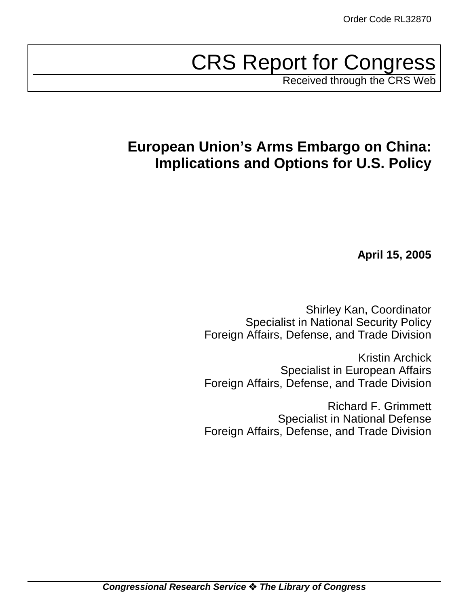# CRS Report for Congress

Received through the CRS Web

## **European Union's Arms Embargo on China: Implications and Options for U.S. Policy**

**April 15, 2005**

Shirley Kan, Coordinator Specialist in National Security Policy Foreign Affairs, Defense, and Trade Division

Kristin Archick Specialist in European Affairs Foreign Affairs, Defense, and Trade Division

Richard F. Grimmett Specialist in National Defense Foreign Affairs, Defense, and Trade Division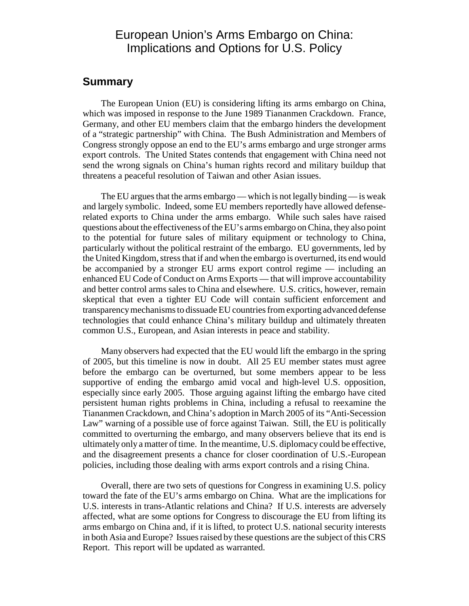## European Union's Arms Embargo on China: Implications and Options for U.S. Policy

## **Summary**

The European Union (EU) is considering lifting its arms embargo on China, which was imposed in response to the June 1989 Tiananmen Crackdown. France, Germany, and other EU members claim that the embargo hinders the development of a "strategic partnership" with China. The Bush Administration and Members of Congress strongly oppose an end to the EU's arms embargo and urge stronger arms export controls. The United States contends that engagement with China need not send the wrong signals on China's human rights record and military buildup that threatens a peaceful resolution of Taiwan and other Asian issues.

The EU argues that the arms embargo — which is not legally binding — is weak and largely symbolic. Indeed, some EU members reportedly have allowed defenserelated exports to China under the arms embargo. While such sales have raised questions about the effectiveness of the EU's arms embargo on China, they also point to the potential for future sales of military equipment or technology to China, particularly without the political restraint of the embargo. EU governments, led by the United Kingdom, stress that if and when the embargo is overturned, its end would be accompanied by a stronger EU arms export control regime — including an enhanced EU Code of Conduct on Arms Exports — that will improve accountability and better control arms sales to China and elsewhere. U.S. critics, however, remain skeptical that even a tighter EU Code will contain sufficient enforcement and transparency mechanisms to dissuade EU countries from exporting advanced defense technologies that could enhance China's military buildup and ultimately threaten common U.S., European, and Asian interests in peace and stability.

Many observers had expected that the EU would lift the embargo in the spring of 2005, but this timeline is now in doubt. All 25 EU member states must agree before the embargo can be overturned, but some members appear to be less supportive of ending the embargo amid vocal and high-level U.S. opposition, especially since early 2005. Those arguing against lifting the embargo have cited persistent human rights problems in China, including a refusal to reexamine the Tiananmen Crackdown, and China's adoption in March 2005 of its "Anti-Secession Law" warning of a possible use of force against Taiwan. Still, the EU is politically committed to overturning the embargo, and many observers believe that its end is ultimately only a matter of time. In the meantime, U.S. diplomacy could be effective, and the disagreement presents a chance for closer coordination of U.S.-European policies, including those dealing with arms export controls and a rising China.

Overall, there are two sets of questions for Congress in examining U.S. policy toward the fate of the EU's arms embargo on China. What are the implications for U.S. interests in trans-Atlantic relations and China? If U.S. interests are adversely affected, what are some options for Congress to discourage the EU from lifting its arms embargo on China and, if it is lifted, to protect U.S. national security interests in both Asia and Europe? Issues raised by these questions are the subject of this CRS Report. This report will be updated as warranted.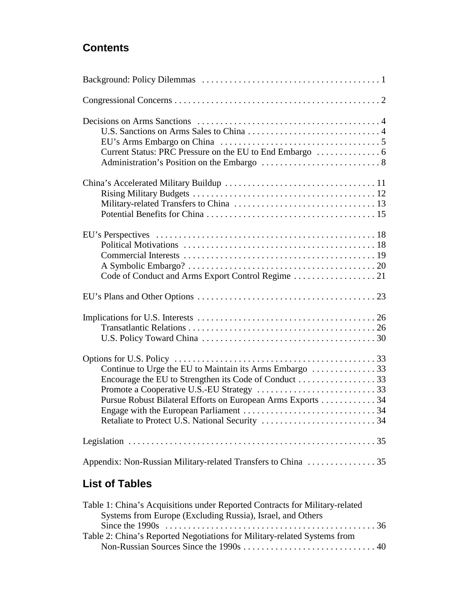## **Contents**

| Continue to Urge the EU to Maintain its Arms Embargo 33<br>Pursue Robust Bilateral Efforts on European Arms Exports 34 |  |
|------------------------------------------------------------------------------------------------------------------------|--|
|                                                                                                                        |  |
|                                                                                                                        |  |

## **List of Tables**

| Table 1: China's Acquisitions under Reported Contracts for Military-related                                                   |  |
|-------------------------------------------------------------------------------------------------------------------------------|--|
| Systems from Europe (Excluding Russia), Israel, and Others                                                                    |  |
| Since the 1990s $\dots \dots \dots \dots \dots \dots \dots \dots \dots \dots \dots \dots \dots \dots \dots \dots \dots \dots$ |  |
| Table 2: China's Reported Negotiations for Military-related Systems from                                                      |  |
|                                                                                                                               |  |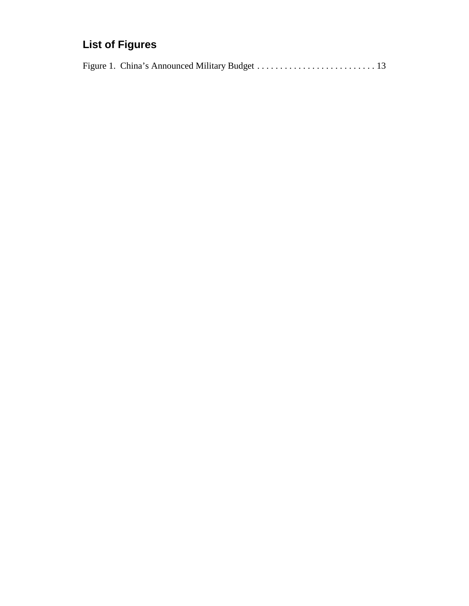## **List of Figures**

|--|--|--|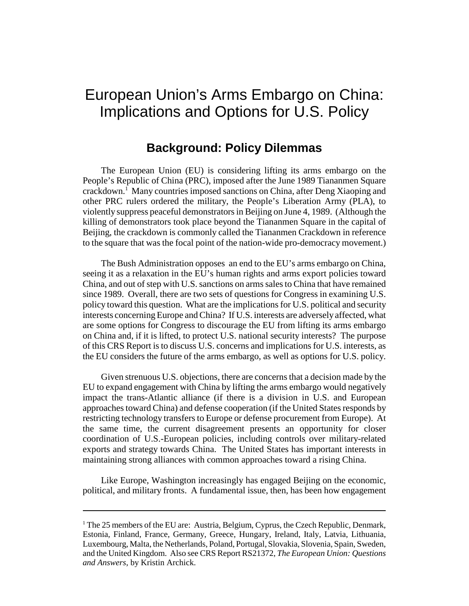## European Union's Arms Embargo on China: Implications and Options for U.S. Policy

## **Background: Policy Dilemmas**

The European Union (EU) is considering lifting its arms embargo on the People's Republic of China (PRC), imposed after the June 1989 Tiananmen Square crackdown.<sup>1</sup> Many countries imposed sanctions on China, after Deng Xiaoping and other PRC rulers ordered the military, the People's Liberation Army (PLA), to violently suppress peaceful demonstrators in Beijing on June 4, 1989. (Although the killing of demonstrators took place beyond the Tiananmen Square in the capital of Beijing, the crackdown is commonly called the Tiananmen Crackdown in reference to the square that was the focal point of the nation-wide pro-democracy movement.)

The Bush Administration opposes an end to the EU's arms embargo on China, seeing it as a relaxation in the EU's human rights and arms export policies toward China, and out of step with U.S. sanctions on arms sales to China that have remained since 1989. Overall, there are two sets of questions for Congress in examining U.S. policy toward this question. What are the implications for U.S. political and security interests concerning Europe and China? If U.S. interests are adversely affected, what are some options for Congress to discourage the EU from lifting its arms embargo on China and, if it is lifted, to protect U.S. national security interests? The purpose of this CRS Report is to discuss U.S. concerns and implications for U.S. interests, as the EU considers the future of the arms embargo, as well as options for U.S. policy.

Given strenuous U.S. objections, there are concerns that a decision made by the EU to expand engagement with China by lifting the arms embargo would negatively impact the trans-Atlantic alliance (if there is a division in U.S. and European approaches toward China) and defense cooperation (if the United States responds by restricting technology transfers to Europe or defense procurement from Europe). At the same time, the current disagreement presents an opportunity for closer coordination of U.S.-European policies, including controls over military-related exports and strategy towards China. The United States has important interests in maintaining strong alliances with common approaches toward a rising China.

Like Europe, Washington increasingly has engaged Beijing on the economic, political, and military fronts. A fundamental issue, then, has been how engagement

<sup>&</sup>lt;sup>1</sup> The 25 members of the EU are: Austria, Belgium, Cyprus, the Czech Republic, Denmark, Estonia, Finland, France, Germany, Greece, Hungary, Ireland, Italy, Latvia, Lithuania, Luxembourg, Malta, the Netherlands, Poland, Portugal, Slovakia, Slovenia, Spain, Sweden, and the United Kingdom. Also see CRS Report RS21372, *The European Union: Questions and Answers*, by Kristin Archick.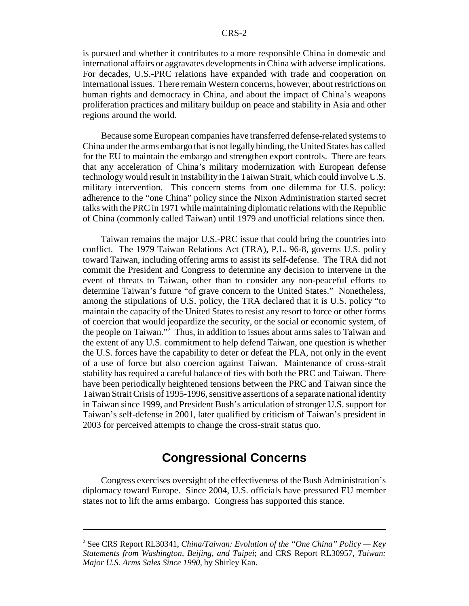is pursued and whether it contributes to a more responsible China in domestic and international affairs or aggravates developments in China with adverse implications. For decades, U.S.-PRC relations have expanded with trade and cooperation on international issues. There remain Western concerns, however, about restrictions on human rights and democracy in China, and about the impact of China's weapons proliferation practices and military buildup on peace and stability in Asia and other regions around the world.

Because some European companies have transferred defense-related systems to China under the arms embargo that is not legally binding, the United States has called for the EU to maintain the embargo and strengthen export controls. There are fears that any acceleration of China's military modernization with European defense technology would result in instability in the Taiwan Strait, which could involve U.S. military intervention. This concern stems from one dilemma for U.S. policy: adherence to the "one China" policy since the Nixon Administration started secret talks with the PRC in 1971 while maintaining diplomatic relations with the Republic of China (commonly called Taiwan) until 1979 and unofficial relations since then.

Taiwan remains the major U.S.-PRC issue that could bring the countries into conflict. The 1979 Taiwan Relations Act (TRA), P.L. 96-8, governs U.S. policy toward Taiwan, including offering arms to assist its self-defense. The TRA did not commit the President and Congress to determine any decision to intervene in the event of threats to Taiwan, other than to consider any non-peaceful efforts to determine Taiwan's future "of grave concern to the United States." Nonetheless, among the stipulations of U.S. policy, the TRA declared that it is U.S. policy "to maintain the capacity of the United States to resist any resort to force or other forms of coercion that would jeopardize the security, or the social or economic system, of the people on Taiwan."2 Thus, in addition to issues about arms sales to Taiwan and the extent of any U.S. commitment to help defend Taiwan, one question is whether the U.S. forces have the capability to deter or defeat the PLA, not only in the event of a use of force but also coercion against Taiwan. Maintenance of cross-strait stability has required a careful balance of ties with both the PRC and Taiwan. There have been periodically heightened tensions between the PRC and Taiwan since the Taiwan Strait Crisis of 1995-1996, sensitive assertions of a separate national identity in Taiwan since 1999, and President Bush's articulation of stronger U.S. support for Taiwan's self-defense in 2001, later qualified by criticism of Taiwan's president in 2003 for perceived attempts to change the cross-strait status quo.

## **Congressional Concerns**

Congress exercises oversight of the effectiveness of the Bush Administration's diplomacy toward Europe. Since 2004, U.S. officials have pressured EU member states not to lift the arms embargo. Congress has supported this stance.

<sup>2</sup> See CRS Report RL30341, *China/Taiwan: Evolution of the "One China" Policy — Key Statements from Washington, Beijing, and Taipei*; and CRS Report RL30957, *Taiwan: Major U.S. Arms Sales Since 1990*, by Shirley Kan.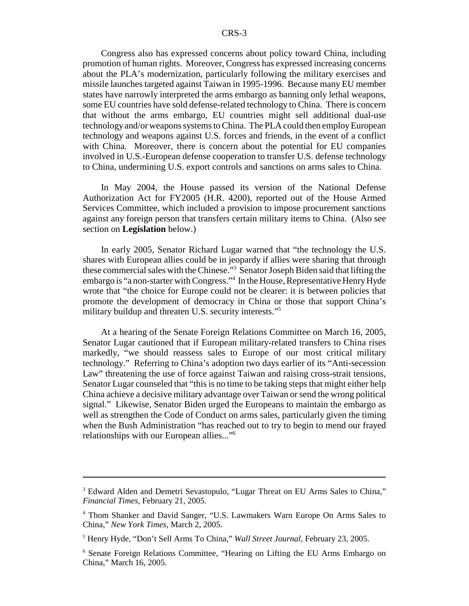Congress also has expressed concerns about policy toward China, including promotion of human rights. Moreover, Congress has expressed increasing concerns about the PLA's modernization, particularly following the military exercises and missile launches targeted against Taiwan in 1995-1996. Because many EU member states have narrowly interpreted the arms embargo as banning only lethal weapons, some EU countries have sold defense-related technology to China. There is concern that without the arms embargo, EU countries might sell additional dual-use technology and/or weapons systems to China. The PLA could then employ European technology and weapons against U.S. forces and friends, in the event of a conflict with China. Moreover, there is concern about the potential for EU companies involved in U.S.-European defense cooperation to transfer U.S. defense technology to China, undermining U.S. export controls and sanctions on arms sales to China.

In May 2004, the House passed its version of the National Defense Authorization Act for FY2005 (H.R. 4200), reported out of the House Armed Services Committee, which included a provision to impose procurement sanctions against any foreign person that transfers certain military items to China. (Also see section on **Legislation** below.)

In early 2005, Senator Richard Lugar warned that "the technology the U.S. shares with European allies could be in jeopardy if allies were sharing that through these commercial sales with the Chinese."3 Senator Joseph Biden said that lifting the embargo is "a non-starter with Congress."4 In the House, Representative Henry Hyde wrote that "the choice for Europe could not be clearer: it is between policies that promote the development of democracy in China or those that support China's military buildup and threaten U.S. security interests."5

At a hearing of the Senate Foreign Relations Committee on March 16, 2005, Senator Lugar cautioned that if European military-related transfers to China rises markedly, "we should reassess sales to Europe of our most critical military technology." Referring to China's adoption two days earlier of its "Anti-secession Law" threatening the use of force against Taiwan and raising cross-strait tensions, Senator Lugar counseled that "this is no time to be taking steps that might either help China achieve a decisive military advantage over Taiwan or send the wrong political signal." Likewise, Senator Biden urged the Europeans to maintain the embargo as well as strengthen the Code of Conduct on arms sales, particularly given the timing when the Bush Administration "has reached out to try to begin to mend our frayed relationships with our European allies..."6

<sup>&</sup>lt;sup>3</sup> Edward Alden and Demetri Sevastopulo, "Lugar Threat on EU Arms Sales to China," *Financial Times*, February 21, 2005.

<sup>4</sup> Thom Shanker and David Sanger, "U.S. Lawmakers Warn Europe On Arms Sales to China," *New York Times*, March 2, 2005.

<sup>5</sup> Henry Hyde, "Don't Sell Arms To China," *Wall Street Journal*, February 23, 2005.

<sup>&</sup>lt;sup>6</sup> Senate Foreign Relations Committee, "Hearing on Lifting the EU Arms Embargo on China," March 16, 2005.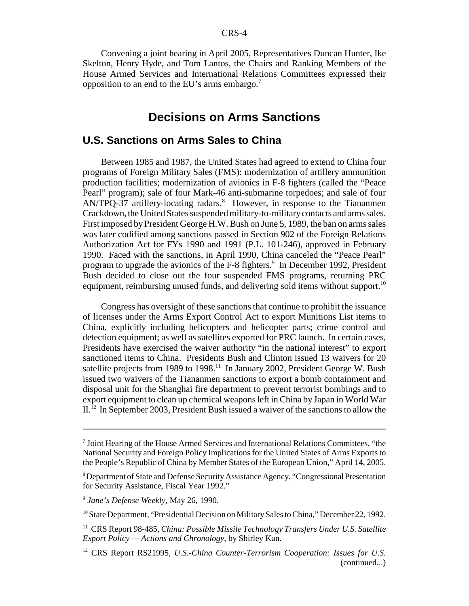Convening a joint hearing in April 2005, Representatives Duncan Hunter, Ike Skelton, Henry Hyde, and Tom Lantos, the Chairs and Ranking Members of the House Armed Services and International Relations Committees expressed their opposition to an end to the EU's arms embargo.7

## **Decisions on Arms Sanctions**

## **U.S. Sanctions on Arms Sales to China**

Between 1985 and 1987, the United States had agreed to extend to China four programs of Foreign Military Sales (FMS): modernization of artillery ammunition production facilities; modernization of avionics in F-8 fighters (called the "Peace Pearl" program); sale of four Mark-46 anti-submarine torpedoes; and sale of four AN/TPQ-37 artillery-locating radars.<sup>8</sup> However, in response to the Tiananmen Crackdown, the United States suspended military-to-military contacts and arms sales. First imposed by President George H.W. Bush on June 5, 1989, the ban on arms sales was later codified among sanctions passed in Section 902 of the Foreign Relations Authorization Act for FYs 1990 and 1991 (P.L. 101-246), approved in February 1990. Faced with the sanctions, in April 1990, China canceled the "Peace Pearl" program to upgrade the avionics of the F-8 fighters.<sup>9</sup> In December 1992, President Bush decided to close out the four suspended FMS programs, returning PRC equipment, reimbursing unused funds, and delivering sold items without support.<sup>10</sup>

Congress has oversight of these sanctions that continue to prohibit the issuance of licenses under the Arms Export Control Act to export Munitions List items to China, explicitly including helicopters and helicopter parts; crime control and detection equipment; as well as satellites exported for PRC launch. In certain cases, Presidents have exercised the waiver authority "in the national interest" to export sanctioned items to China. Presidents Bush and Clinton issued 13 waivers for 20 satellite projects from 1989 to 1998.<sup>11</sup> In January 2002, President George W. Bush issued two waivers of the Tiananmen sanctions to export a bomb containment and disposal unit for the Shanghai fire department to prevent terrorist bombings and to export equipment to clean up chemical weapons left in China by Japan in World War  $II<sup>12</sup>$  In September 2003, President Bush issued a waiver of the sanctions to allow the

<sup>&</sup>lt;sup>7</sup> Joint Hearing of the House Armed Services and International Relations Committees, "the National Security and Foreign Policy Implications for the United States of Arms Exports to the People's Republic of China by Member States of the European Union," April 14, 2005.

<sup>&</sup>lt;sup>8</sup> Department of State and Defense Security Assistance Agency, "Congressional Presentation for Security Assistance, Fiscal Year 1992."

<sup>9</sup> *Jane's Defense Weekly*, May 26, 1990.

<sup>&</sup>lt;sup>10</sup> State Department, "Presidential Decision on Military Sales to China," December 22, 1992.

<sup>11</sup> CRS Report 98-485, *China: Possible Missile Technology Transfers Under U.S. Satellite Export Policy — Actions and Chronology*, by Shirley Kan.

<sup>12</sup> CRS Report RS21995, *U.S.-China Counter-Terrorism Cooperation: Issues for U.S.* (continued...)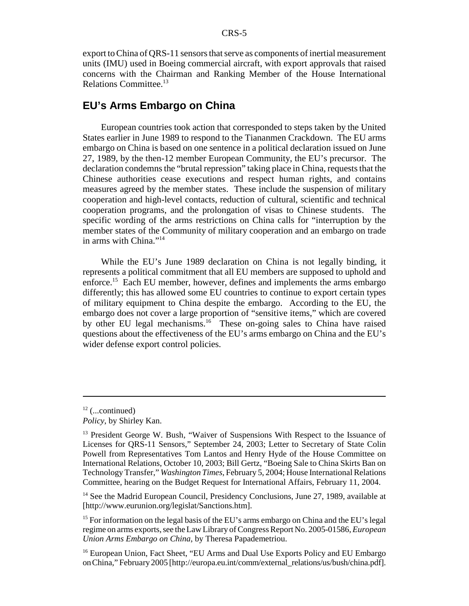export to China of QRS-11 sensors that serve as components of inertial measurement units (IMU) used in Boeing commercial aircraft, with export approvals that raised concerns with the Chairman and Ranking Member of the House International Relations Committee.13

## **EU's Arms Embargo on China**

European countries took action that corresponded to steps taken by the United States earlier in June 1989 to respond to the Tiananmen Crackdown. The EU arms embargo on China is based on one sentence in a political declaration issued on June 27, 1989, by the then-12 member European Community, the EU's precursor. The declaration condemns the "brutal repression" taking place in China, requests that the Chinese authorities cease executions and respect human rights, and contains measures agreed by the member states. These include the suspension of military cooperation and high-level contacts, reduction of cultural, scientific and technical cooperation programs, and the prolongation of visas to Chinese students. The specific wording of the arms restrictions on China calls for "interruption by the member states of the Community of military cooperation and an embargo on trade in arms with China."14

While the EU's June 1989 declaration on China is not legally binding, it represents a political commitment that all EU members are supposed to uphold and enforce.<sup>15</sup> Each EU member, however, defines and implements the arms embargo differently; this has allowed some EU countries to continue to export certain types of military equipment to China despite the embargo. According to the EU, the embargo does not cover a large proportion of "sensitive items," which are covered by other EU legal mechanisms.<sup>16</sup> These on-going sales to China have raised questions about the effectiveness of the EU's arms embargo on China and the EU's wider defense export control policies.

 $12$  (...continued)

*Policy*, by Shirley Kan.

<sup>&</sup>lt;sup>13</sup> President George W. Bush, "Waiver of Suspensions With Respect to the Issuance of Licenses for QRS-11 Sensors," September 24, 2003; Letter to Secretary of State Colin Powell from Representatives Tom Lantos and Henry Hyde of the House Committee on International Relations, October 10, 2003; Bill Gertz, "Boeing Sale to China Skirts Ban on Technology Transfer," *Washington Times*, February 5, 2004; House International Relations Committee, hearing on the Budget Request for International Affairs, February 11, 2004.

 $14$  See the Madrid European Council, Presidency Conclusions, June 27, 1989, available at [http://www.eurunion.org/legislat/Sanctions.htm].

<sup>&</sup>lt;sup>15</sup> For information on the legal basis of the EU's arms embargo on China and the EU's legal regime on arms exports, see the Law Library of Congress Report No. 2005-01586, *European Union Arms Embargo on China*, by Theresa Papademetriou.

<sup>&</sup>lt;sup>16</sup> European Union, Fact Sheet, "EU Arms and Dual Use Exports Policy and EU Embargo on China," February 2005 [http://europa.eu.int/comm/external\_relations/us/bush/china.pdf].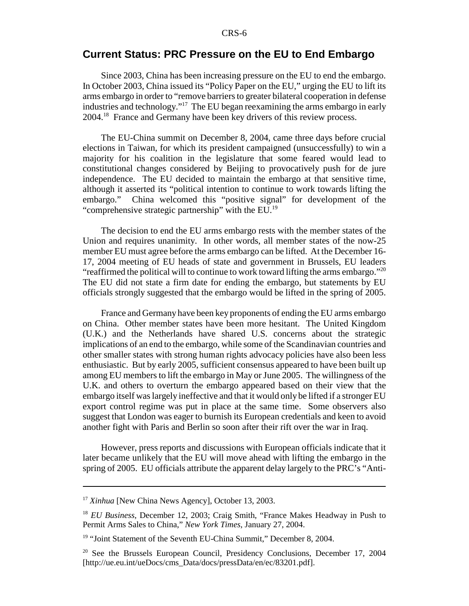## **Current Status: PRC Pressure on the EU to End Embargo**

Since 2003, China has been increasing pressure on the EU to end the embargo. In October 2003, China issued its "Policy Paper on the EU," urging the EU to lift its arms embargo in order to "remove barriers to greater bilateral cooperation in defense industries and technology."17 The EU began reexamining the arms embargo in early 2004.18 France and Germany have been key drivers of this review process.

The EU-China summit on December 8, 2004, came three days before crucial elections in Taiwan, for which its president campaigned (unsuccessfully) to win a majority for his coalition in the legislature that some feared would lead to constitutional changes considered by Beijing to provocatively push for de jure independence. The EU decided to maintain the embargo at that sensitive time, although it asserted its "political intention to continue to work towards lifting the embargo." China welcomed this "positive signal" for development of the "comprehensive strategic partnership" with the  $EU<sup>19</sup>$ 

The decision to end the EU arms embargo rests with the member states of the Union and requires unanimity. In other words, all member states of the now-25 member EU must agree before the arms embargo can be lifted. At the December 16- 17, 2004 meeting of EU heads of state and government in Brussels, EU leaders "reaffirmed the political will to continue to work toward lifting the arms embargo." $^{20}$ The EU did not state a firm date for ending the embargo, but statements by EU officials strongly suggested that the embargo would be lifted in the spring of 2005.

France and Germany have been key proponents of ending the EU arms embargo on China. Other member states have been more hesitant. The United Kingdom (U.K.) and the Netherlands have shared U.S. concerns about the strategic implications of an end to the embargo, while some of the Scandinavian countries and other smaller states with strong human rights advocacy policies have also been less enthusiastic. But by early 2005, sufficient consensus appeared to have been built up among EU members to lift the embargo in May or June 2005. The willingness of the U.K. and others to overturn the embargo appeared based on their view that the embargo itself was largely ineffective and that it would only be lifted if a stronger EU export control regime was put in place at the same time. Some observers also suggest that London was eager to burnish its European credentials and keen to avoid another fight with Paris and Berlin so soon after their rift over the war in Iraq.

However, press reports and discussions with European officials indicate that it later became unlikely that the EU will move ahead with lifting the embargo in the spring of 2005. EU officials attribute the apparent delay largely to the PRC's "Anti-

<sup>&</sup>lt;sup>17</sup> *Xinhua* [New China News Agency], October 13, 2003.

<sup>18</sup> *EU Business*, December 12, 2003; Craig Smith, "France Makes Headway in Push to Permit Arms Sales to China," *New York Times*, January 27, 2004.

<sup>&</sup>lt;sup>19</sup> "Joint Statement of the Seventh EU-China Summit," December 8, 2004.

 $20$  See the Brussels European Council, Presidency Conclusions, December 17, 2004 [http://ue.eu.int/ueDocs/cms\_Data/docs/pressData/en/ec/83201.pdf].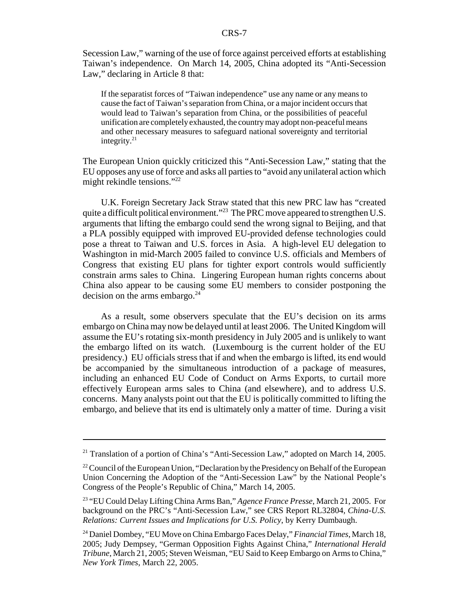Secession Law," warning of the use of force against perceived efforts at establishing Taiwan's independence. On March 14, 2005, China adopted its "Anti-Secession Law," declaring in Article 8 that:

If the separatist forces of "Taiwan independence" use any name or any means to cause the fact of Taiwan's separation from China, or a major incident occurs that would lead to Taiwan's separation from China, or the possibilities of peaceful unification are completely exhausted, the country may adopt non-peaceful means and other necessary measures to safeguard national sovereignty and territorial integrity. $21$ 

The European Union quickly criticized this "Anti-Secession Law," stating that the EU opposes any use of force and asks all parties to "avoid any unilateral action which might rekindle tensions."22

U.K. Foreign Secretary Jack Straw stated that this new PRC law has "created quite a difficult political environment."<sup>23</sup> The PRC move appeared to strengthen U.S. arguments that lifting the embargo could send the wrong signal to Beijing, and that a PLA possibly equipped with improved EU-provided defense technologies could pose a threat to Taiwan and U.S. forces in Asia. A high-level EU delegation to Washington in mid-March 2005 failed to convince U.S. officials and Members of Congress that existing EU plans for tighter export controls would sufficiently constrain arms sales to China. Lingering European human rights concerns about China also appear to be causing some EU members to consider postponing the decision on the arms embargo. $^{24}$ 

As a result, some observers speculate that the EU's decision on its arms embargo on China may now be delayed until at least 2006. The United Kingdom will assume the EU's rotating six-month presidency in July 2005 and is unlikely to want the embargo lifted on its watch. (Luxembourg is the current holder of the EU presidency.) EU officials stress that if and when the embargo is lifted, its end would be accompanied by the simultaneous introduction of a package of measures, including an enhanced EU Code of Conduct on Arms Exports, to curtail more effectively European arms sales to China (and elsewhere), and to address U.S. concerns. Many analysts point out that the EU is politically committed to lifting the embargo, and believe that its end is ultimately only a matter of time. During a visit

<sup>&</sup>lt;sup>21</sup> Translation of a portion of China's "Anti-Secession Law," adopted on March 14, 2005.

<sup>&</sup>lt;sup>22</sup> Council of the European Union, "Declaration by the Presidency on Behalf of the European Union Concerning the Adoption of the "Anti-Secession Law" by the National People's Congress of the People's Republic of China," March 14, 2005.

<sup>23 &</sup>quot;EU Could Delay Lifting China Arms Ban," *Agence France Presse*, March 21, 2005. For background on the PRC's "Anti-Secession Law," see CRS Report RL32804, *China-U.S. Relations: Current Issues and Implications for U.S. Policy*, by Kerry Dumbaugh.

<sup>24</sup> Daniel Dombey, "EU Move on China Embargo Faces Delay," *Financial Times*, March 18, 2005; Judy Dempsey, "German Opposition Fights Against China," *International Herald Tribune*, March 21, 2005; Steven Weisman, "EU Said to Keep Embargo on Arms to China," *New York Times*, March 22, 2005.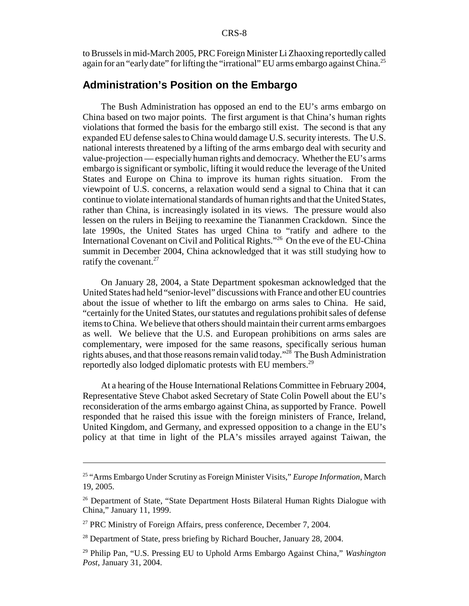to Brussels in mid-March 2005, PRC Foreign Minister Li Zhaoxing reportedly called again for an "early date" for lifting the "irrational" EU arms embargo against China.<sup>25</sup>

## **Administration's Position on the Embargo**

The Bush Administration has opposed an end to the EU's arms embargo on China based on two major points. The first argument is that China's human rights violations that formed the basis for the embargo still exist. The second is that any expanded EU defense sales to China would damage U.S. security interests. The U.S. national interests threatened by a lifting of the arms embargo deal with security and value-projection — especially human rights and democracy. Whether the EU's arms embargo is significant or symbolic, lifting it would reduce the leverage of the United States and Europe on China to improve its human rights situation. From the viewpoint of U.S. concerns, a relaxation would send a signal to China that it can continue to violate international standards of human rights and that the United States, rather than China, is increasingly isolated in its views. The pressure would also lessen on the rulers in Beijing to reexamine the Tiananmen Crackdown. Since the late 1990s, the United States has urged China to "ratify and adhere to the International Covenant on Civil and Political Rights."26 On the eve of the EU-China summit in December 2004, China acknowledged that it was still studying how to ratify the covenant.<sup>27</sup>

On January 28, 2004, a State Department spokesman acknowledged that the United States had held "senior-level" discussions with France and other EU countries about the issue of whether to lift the embargo on arms sales to China. He said, "certainly for the United States, our statutes and regulations prohibit sales of defense items to China. We believe that others should maintain their current arms embargoes as well. We believe that the U.S. and European prohibitions on arms sales are complementary, were imposed for the same reasons, specifically serious human rights abuses, and that those reasons remain valid today."28 The Bush Administration reportedly also lodged diplomatic protests with EU members.29

At a hearing of the House International Relations Committee in February 2004, Representative Steve Chabot asked Secretary of State Colin Powell about the EU's reconsideration of the arms embargo against China, as supported by France. Powell responded that he raised this issue with the foreign ministers of France, Ireland, United Kingdom, and Germany, and expressed opposition to a change in the EU's policy at that time in light of the PLA's missiles arrayed against Taiwan, the

<sup>25 &</sup>quot;Arms Embargo Under Scrutiny as Foreign Minister Visits," *Europe Information*, March 19, 2005.

<sup>&</sup>lt;sup>26</sup> Department of State, "State Department Hosts Bilateral Human Rights Dialogue with China," January 11, 1999.

 $27$  PRC Ministry of Foreign Affairs, press conference, December 7, 2004.

<sup>&</sup>lt;sup>28</sup> Department of State, press briefing by Richard Boucher, January 28, 2004.

<sup>29</sup> Philip Pan, "U.S. Pressing EU to Uphold Arms Embargo Against China," *Washington Post*, January 31, 2004.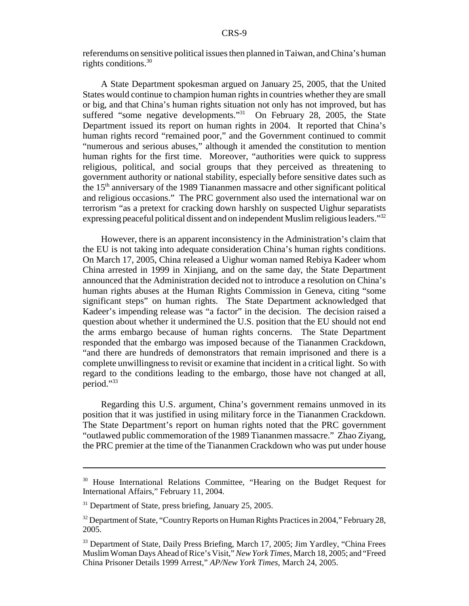referendums on sensitive political issues then planned in Taiwan, and China's human rights conditions.30

A State Department spokesman argued on January 25, 2005, that the United States would continue to champion human rights in countries whether they are small or big, and that China's human rights situation not only has not improved, but has suffered "some negative developments."<sup>31</sup> On February 28, 2005, the State Department issued its report on human rights in 2004. It reported that China's human rights record "remained poor," and the Government continued to commit "numerous and serious abuses," although it amended the constitution to mention human rights for the first time. Moreover, "authorities were quick to suppress religious, political, and social groups that they perceived as threatening to government authority or national stability, especially before sensitive dates such as the 15th anniversary of the 1989 Tiananmen massacre and other significant political and religious occasions." The PRC government also used the international war on terrorism "as a pretext for cracking down harshly on suspected Uighur separatists expressing peaceful political dissent and on independent Muslim religious leaders."<sup>32</sup>

However, there is an apparent inconsistency in the Administration's claim that the EU is not taking into adequate consideration China's human rights conditions. On March 17, 2005, China released a Uighur woman named Rebiya Kadeer whom China arrested in 1999 in Xinjiang, and on the same day, the State Department announced that the Administration decided not to introduce a resolution on China's human rights abuses at the Human Rights Commission in Geneva, citing "some significant steps" on human rights. The State Department acknowledged that Kadeer's impending release was "a factor" in the decision. The decision raised a question about whether it undermined the U.S. position that the EU should not end the arms embargo because of human rights concerns. The State Department responded that the embargo was imposed because of the Tiananmen Crackdown, "and there are hundreds of demonstrators that remain imprisoned and there is a complete unwillingness to revisit or examine that incident in a critical light. So with regard to the conditions leading to the embargo, those have not changed at all, period."33

Regarding this U.S. argument, China's government remains unmoved in its position that it was justified in using military force in the Tiananmen Crackdown. The State Department's report on human rights noted that the PRC government "outlawed public commemoration of the 1989 Tiananmen massacre." Zhao Ziyang, the PRC premier at the time of the Tiananmen Crackdown who was put under house

<sup>30</sup> House International Relations Committee, "Hearing on the Budget Request for International Affairs," February 11, 2004.

<sup>&</sup>lt;sup>31</sup> Department of State, press briefing, January 25, 2005.

<sup>&</sup>lt;sup>32</sup> Department of State, "Country Reports on Human Rights Practices in 2004," February 28, 2005.

<sup>&</sup>lt;sup>33</sup> Department of State, Daily Press Briefing, March 17, 2005; Jim Yardley, "China Frees Muslim Woman Days Ahead of Rice's Visit," *New York Times*, March 18, 2005; and "Freed China Prisoner Details 1999 Arrest," *AP/New York Times*, March 24, 2005.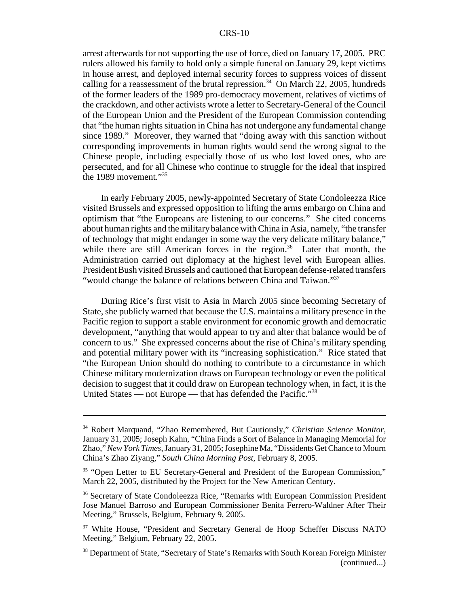arrest afterwards for not supporting the use of force, died on January 17, 2005. PRC rulers allowed his family to hold only a simple funeral on January 29, kept victims in house arrest, and deployed internal security forces to suppress voices of dissent calling for a reassessment of the brutal repression.<sup>34</sup> On March 22, 2005, hundreds of the former leaders of the 1989 pro-democracy movement, relatives of victims of the crackdown, and other activists wrote a letter to Secretary-General of the Council of the European Union and the President of the European Commission contending that "the human rights situation in China has not undergone any fundamental change since 1989." Moreover, they warned that "doing away with this sanction without corresponding improvements in human rights would send the wrong signal to the Chinese people, including especially those of us who lost loved ones, who are persecuted, and for all Chinese who continue to struggle for the ideal that inspired the 1989 movement."<sup>35</sup>

In early February 2005, newly-appointed Secretary of State Condoleezza Rice visited Brussels and expressed opposition to lifting the arms embargo on China and optimism that "the Europeans are listening to our concerns." She cited concerns about human rights and the military balance with China in Asia, namely, "the transfer of technology that might endanger in some way the very delicate military balance," while there are still American forces in the region.<sup>36</sup> Later that month, the Administration carried out diplomacy at the highest level with European allies. President Bush visited Brussels and cautioned that European defense-related transfers "would change the balance of relations between China and Taiwan."<sup>37</sup>

During Rice's first visit to Asia in March 2005 since becoming Secretary of State, she publicly warned that because the U.S. maintains a military presence in the Pacific region to support a stable environment for economic growth and democratic development, "anything that would appear to try and alter that balance would be of concern to us." She expressed concerns about the rise of China's military spending and potential military power with its "increasing sophistication." Rice stated that "the European Union should do nothing to contribute to a circumstance in which Chinese military modernization draws on European technology or even the political decision to suggest that it could draw on European technology when, in fact, it is the United States — not Europe — that has defended the Pacific."<sup>38</sup>

<sup>34</sup> Robert Marquand, "Zhao Remembered, But Cautiously," *Christian Science Monitor*, January 31, 2005; Joseph Kahn, "China Finds a Sort of Balance in Managing Memorial for Zhao," *New York Times*, January 31, 2005; Josephine Ma, "Dissidents Get Chance to Mourn China's Zhao Ziyang," *South China Morning Post*, February 8, 2005.

<sup>&</sup>lt;sup>35</sup> "Open Letter to EU Secretary-General and President of the European Commission," March 22, 2005, distributed by the Project for the New American Century.

<sup>36</sup> Secretary of State Condoleezza Rice, "Remarks with European Commission President Jose Manuel Barroso and European Commissioner Benita Ferrero-Waldner After Their Meeting," Brussels, Belgium, February 9, 2005.

<sup>&</sup>lt;sup>37</sup> White House, "President and Secretary General de Hoop Scheffer Discuss NATO Meeting," Belgium, February 22, 2005.

<sup>&</sup>lt;sup>38</sup> Department of State, "Secretary of State's Remarks with South Korean Foreign Minister (continued...)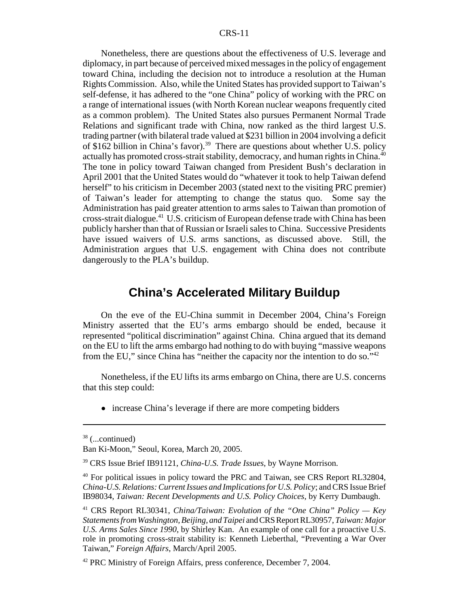Nonetheless, there are questions about the effectiveness of U.S. leverage and diplomacy, in part because of perceived mixed messages in the policy of engagement toward China, including the decision not to introduce a resolution at the Human Rights Commission. Also, while the United States has provided support to Taiwan's self-defense, it has adhered to the "one China" policy of working with the PRC on a range of international issues (with North Korean nuclear weapons frequently cited as a common problem). The United States also pursues Permanent Normal Trade Relations and significant trade with China, now ranked as the third largest U.S. trading partner (with bilateral trade valued at \$231 billion in 2004 involving a deficit of \$162 billion in China's favor).<sup>39</sup> There are questions about whether U.S. policy actually has promoted cross-strait stability, democracy, and human rights in China.<sup>40</sup> The tone in policy toward Taiwan changed from President Bush's declaration in April 2001 that the United States would do "whatever it took to help Taiwan defend herself" to his criticism in December 2003 (stated next to the visiting PRC premier) of Taiwan's leader for attempting to change the status quo. Some say the Administration has paid greater attention to arms sales to Taiwan than promotion of cross-strait dialogue.41 U.S. criticism of European defense trade with China has been publicly harsher than that of Russian or Israeli sales to China. Successive Presidents have issued waivers of U.S. arms sanctions, as discussed above. Still, the Administration argues that U.S. engagement with China does not contribute dangerously to the PLA's buildup.

## **China's Accelerated Military Buildup**

On the eve of the EU-China summit in December 2004, China's Foreign Ministry asserted that the EU's arms embargo should be ended, because it represented "political discrimination" against China. China argued that its demand on the EU to lift the arms embargo had nothing to do with buying "massive weapons from the EU," since China has "neither the capacity nor the intention to do so."<sup>42</sup>

Nonetheless, if the EU lifts its arms embargo on China, there are U.S. concerns that this step could:

• increase China's leverage if there are more competing bidders

 $38$  (...continued)

Ban Ki-Moon," Seoul, Korea, March 20, 2005.

<sup>39</sup> CRS Issue Brief IB91121, *China-U.S. Trade Issues*, by Wayne Morrison.

<sup>&</sup>lt;sup>40</sup> For political issues in policy toward the PRC and Taiwan, see CRS Report RL32804, *China-U.S. Relations: Current Issues and Implications for U.S. Policy*; and CRS Issue Brief IB98034, *Taiwan: Recent Developments and U.S. Policy Choices*, by Kerry Dumbaugh.

<sup>41</sup> CRS Report RL30341, *China/Taiwan: Evolution of the "One China" Policy — Key Statements from Washington, Beijing, and Taipei* and CRS Report RL30957, *Taiwan: Major U.S. Arms Sales Since 1990*, by Shirley Kan. An example of one call for a proactive U.S. role in promoting cross-strait stability is: Kenneth Lieberthal, "Preventing a War Over Taiwan," *Foreign Affairs*, March/April 2005.

<sup>&</sup>lt;sup>42</sup> PRC Ministry of Foreign Affairs, press conference, December 7, 2004.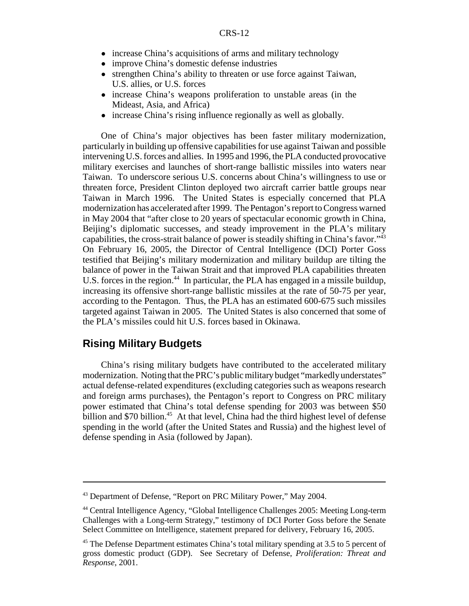- increase China's acquisitions of arms and military technology
- improve China's domestic defense industries
- strengthen China's ability to threaten or use force against Taiwan, U.S. allies, or U.S. forces
- increase China's weapons proliferation to unstable areas (in the Mideast, Asia, and Africa)
- increase China's rising influence regionally as well as globally.

One of China's major objectives has been faster military modernization, particularly in building up offensive capabilities for use against Taiwan and possible intervening U.S. forces and allies. In 1995 and 1996, the PLA conducted provocative military exercises and launches of short-range ballistic missiles into waters near Taiwan. To underscore serious U.S. concerns about China's willingness to use or threaten force, President Clinton deployed two aircraft carrier battle groups near Taiwan in March 1996. The United States is especially concerned that PLA modernization has accelerated after 1999. The Pentagon's report to Congress warned in May 2004 that "after close to 20 years of spectacular economic growth in China, Beijing's diplomatic successes, and steady improvement in the PLA's military capabilities, the cross-strait balance of power is steadily shifting in China's favor."43 On February 16, 2005, the Director of Central Intelligence (DCI) Porter Goss testified that Beijing's military modernization and military buildup are tilting the balance of power in the Taiwan Strait and that improved PLA capabilities threaten U.S. forces in the region.<sup>44</sup> In particular, the PLA has engaged in a missile buildup, increasing its offensive short-range ballistic missiles at the rate of 50-75 per year, according to the Pentagon. Thus, the PLA has an estimated 600-675 such missiles targeted against Taiwan in 2005. The United States is also concerned that some of the PLA's missiles could hit U.S. forces based in Okinawa.

#### **Rising Military Budgets**

China's rising military budgets have contributed to the accelerated military modernization. Noting that the PRC's public military budget "markedly understates" actual defense-related expenditures (excluding categories such as weapons research and foreign arms purchases), the Pentagon's report to Congress on PRC military power estimated that China's total defense spending for 2003 was between \$50 billion and \$70 billion.<sup>45</sup> At that level, China had the third highest level of defense spending in the world (after the United States and Russia) and the highest level of defense spending in Asia (followed by Japan).

<sup>&</sup>lt;sup>43</sup> Department of Defense, "Report on PRC Military Power," May 2004.

<sup>44</sup> Central Intelligence Agency, "Global Intelligence Challenges 2005: Meeting Long-term Challenges with a Long-term Strategy," testimony of DCI Porter Goss before the Senate Select Committee on Intelligence, statement prepared for delivery, February 16, 2005.

<sup>&</sup>lt;sup>45</sup> The Defense Department estimates China's total military spending at 3.5 to 5 percent of gross domestic product (GDP). See Secretary of Defense, *Proliferation: Threat and Response*, 2001.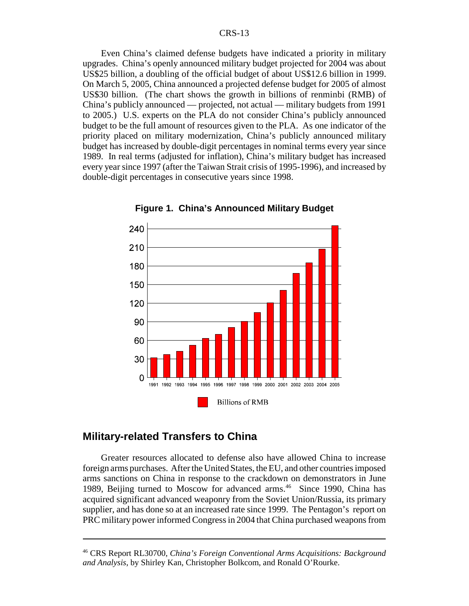Even China's claimed defense budgets have indicated a priority in military upgrades. China's openly announced military budget projected for 2004 was about US\$25 billion, a doubling of the official budget of about US\$12.6 billion in 1999. On March 5, 2005, China announced a projected defense budget for 2005 of almost US\$30 billion. (The chart shows the growth in billions of renminbi (RMB) of China's publicly announced — projected, not actual — military budgets from 1991 to 2005.) U.S. experts on the PLA do not consider China's publicly announced budget to be the full amount of resources given to the PLA. As one indicator of the priority placed on military modernization, China's publicly announced military budget has increased by double-digit percentages in nominal terms every year since 1989. In real terms (adjusted for inflation), China's military budget has increased every year since 1997 (after the Taiwan Strait crisis of 1995-1996), and increased by double-digit percentages in consecutive years since 1998.



**Figure 1. China's Announced Military Budget**

## **Military-related Transfers to China**

Greater resources allocated to defense also have allowed China to increase foreign arms purchases. After the United States, the EU, and other countries imposed arms sanctions on China in response to the crackdown on demonstrators in June 1989, Beijing turned to Moscow for advanced arms.<sup>46</sup> Since 1990, China has acquired significant advanced weaponry from the Soviet Union/Russia, its primary supplier, and has done so at an increased rate since 1999. The Pentagon's report on PRC military power informed Congress in 2004 that China purchased weapons from

<sup>46</sup> CRS Report RL30700, *China's Foreign Conventional Arms Acquisitions: Background and Analysis*, by Shirley Kan, Christopher Bolkcom, and Ronald O'Rourke.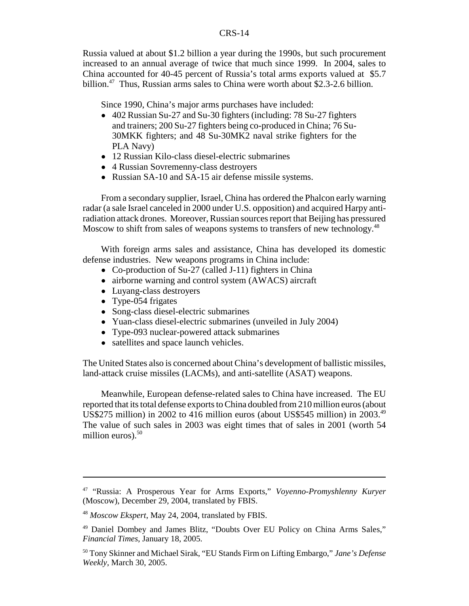Russia valued at about \$1.2 billion a year during the 1990s, but such procurement increased to an annual average of twice that much since 1999. In 2004, sales to China accounted for 40-45 percent of Russia's total arms exports valued at \$5.7 billion.<sup>47</sup> Thus, Russian arms sales to China were worth about \$2.3-2.6 billion.

Since 1990, China's major arms purchases have included:

- ! 402 Russian Su-27 and Su-30 fighters (including: 78 Su-27 fighters and trainers; 200 Su-27 fighters being co-produced in China; 76 Su-30MKK fighters; and 48 Su-30MK2 naval strike fighters for the PLA Navy)
- 12 Russian Kilo-class diesel-electric submarines
- 4 Russian Sovremenny-class destroyers
- Russian SA-10 and SA-15 air defense missile systems.

From a secondary supplier, Israel, China has ordered the Phalcon early warning radar (a sale Israel canceled in 2000 under U.S. opposition) and acquired Harpy antiradiation attack drones. Moreover, Russian sources report that Beijing has pressured Moscow to shift from sales of weapons systems to transfers of new technology.<sup>48</sup>

With foreign arms sales and assistance, China has developed its domestic defense industries. New weapons programs in China include:

- Co-production of Su-27 (called J-11) fighters in China
- airborne warning and control system (AWACS) aircraft
- Luyang-class destroyers
- Type-054 frigates
- Song-class diesel-electric submarines
- Yuan-class diesel-electric submarines (unveiled in July 2004)
- Type-093 nuclear-powered attack submarines
- satellites and space launch vehicles.

The United States also is concerned about China's development of ballistic missiles, land-attack cruise missiles (LACMs), and anti-satellite (ASAT) weapons.

Meanwhile, European defense-related sales to China have increased. The EU reported that its total defense exports to China doubled from 210 million euros (about US\$275 million) in 2002 to 416 million euros (about US\$545 million) in 2003.<sup>49</sup> The value of such sales in 2003 was eight times that of sales in 2001 (worth 54 million euros). $50$ 

<sup>47 &</sup>quot;Russia: A Prosperous Year for Arms Exports," *Voyenno-Promyshlenny Kuryer* (Moscow), December 29, 2004, translated by FBIS.

<sup>48</sup> *Moscow Ekspert*, May 24, 2004, translated by FBIS.

<sup>49</sup> Daniel Dombey and James Blitz, "Doubts Over EU Policy on China Arms Sales," *Financial Times*, January 18, 2005.

<sup>50</sup> Tony Skinner and Michael Sirak, "EU Stands Firm on Lifting Embargo," *Jane's Defense Weekly*, March 30, 2005.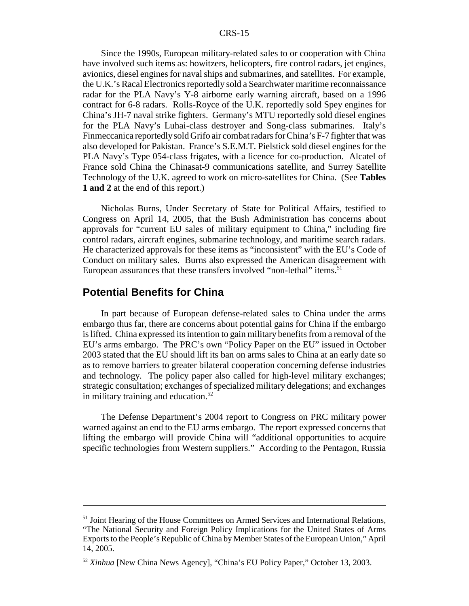Since the 1990s, European military-related sales to or cooperation with China have involved such items as: howitzers, helicopters, fire control radars, jet engines, avionics, diesel engines for naval ships and submarines, and satellites. For example, the U.K.'s Racal Electronics reportedly sold a Searchwater maritime reconnaissance radar for the PLA Navy's Y-8 airborne early warning aircraft, based on a 1996 contract for 6-8 radars. Rolls-Royce of the U.K. reportedly sold Spey engines for China's JH-7 naval strike fighters. Germany's MTU reportedly sold diesel engines for the PLA Navy's Luhai-class destroyer and Song-class submarines. Italy's Finmeccanica reportedly sold Grifo air combat radars for China's F-7 fighter that was also developed for Pakistan. France's S.E.M.T. Pielstick sold diesel engines for the PLA Navy's Type 054-class frigates, with a licence for co-production. Alcatel of France sold China the Chinasat-9 communications satellite, and Surrey Satellite Technology of the U.K. agreed to work on micro-satellites for China. (See **Tables 1 and 2** at the end of this report.)

Nicholas Burns, Under Secretary of State for Political Affairs, testified to Congress on April 14, 2005, that the Bush Administration has concerns about approvals for "current EU sales of military equipment to China," including fire control radars, aircraft engines, submarine technology, and maritime search radars. He characterized approvals for these items as "inconsistent" with the EU's Code of Conduct on military sales. Burns also expressed the American disagreement with European assurances that these transfers involved "non-lethal" items.<sup>51</sup>

### **Potential Benefits for China**

In part because of European defense-related sales to China under the arms embargo thus far, there are concerns about potential gains for China if the embargo is lifted. China expressed its intention to gain military benefits from a removal of the EU's arms embargo. The PRC's own "Policy Paper on the EU" issued in October 2003 stated that the EU should lift its ban on arms sales to China at an early date so as to remove barriers to greater bilateral cooperation concerning defense industries and technology. The policy paper also called for high-level military exchanges; strategic consultation; exchanges of specialized military delegations; and exchanges in military training and education. $52$ 

The Defense Department's 2004 report to Congress on PRC military power warned against an end to the EU arms embargo. The report expressed concerns that lifting the embargo will provide China will "additional opportunities to acquire specific technologies from Western suppliers." According to the Pentagon, Russia

<sup>&</sup>lt;sup>51</sup> Joint Hearing of the House Committees on Armed Services and International Relations, "The National Security and Foreign Policy Implications for the United States of Arms Exports to the People's Republic of China by Member States of the European Union," April 14, 2005.

<sup>52</sup> *Xinhua* [New China News Agency], "China's EU Policy Paper," October 13, 2003.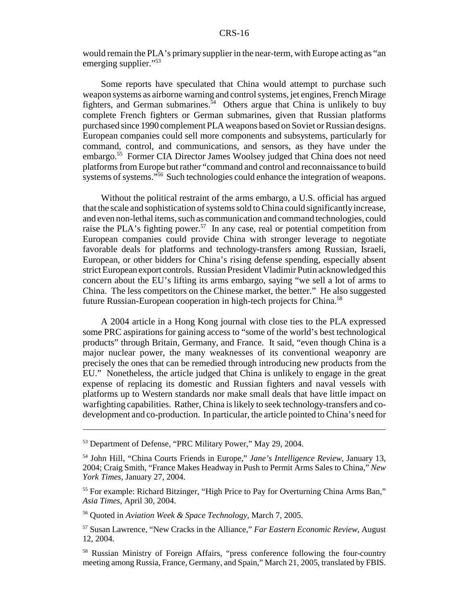would remain the PLA's primary supplier in the near-term, with Europe acting as "an emerging supplier."<sup>53</sup>

Some reports have speculated that China would attempt to purchase such weapon systems as airborne warning and control systems, jet engines, French Mirage fighters, and German submarines.<sup>54</sup> Others argue that China is unlikely to buy complete French fighters or German submarines, given that Russian platforms purchased since 1990 complement PLA weapons based on Soviet or Russian designs. European companies could sell more components and subsystems, particularly for command, control, and communications, and sensors, as they have under the embargo.<sup>55</sup> Former CIA Director James Woolsey judged that China does not need platforms from Europe but rather "command and control and reconnaissance to build systems of systems."<sup>56</sup> Such technologies could enhance the integration of weapons.

Without the political restraint of the arms embargo, a U.S. official has argued that the scale and sophistication of systems sold to China could significantly increase, and even non-lethal items, such as communication and command technologies, could raise the PLA's fighting power.<sup>57</sup> In any case, real or potential competition from European companies could provide China with stronger leverage to negotiate favorable deals for platforms and technology-transfers among Russian, Israeli, European, or other bidders for China's rising defense spending, especially absent strict European export controls. Russian President Vladimir Putin acknowledged this concern about the EU's lifting its arms embargo, saying "we sell a lot of arms to China. The less competitors on the Chinese market, the better." He also suggested future Russian-European cooperation in high-tech projects for China.<sup>58</sup>

A 2004 article in a Hong Kong journal with close ties to the PLA expressed some PRC aspirations for gaining access to "some of the world's best technological products" through Britain, Germany, and France. It said, "even though China is a major nuclear power, the many weaknesses of its conventional weaponry are precisely the ones that can be remedied through introducing new products from the EU." Nonetheless, the article judged that China is unlikely to engage in the great expense of replacing its domestic and Russian fighters and naval vessels with platforms up to Western standards nor make small deals that have little impact on warfighting capabilities. Rather, China is likely to seek technology-transfers and codevelopment and co-production. In particular, the article pointed to China's need for

<sup>&</sup>lt;sup>53</sup> Department of Defense, "PRC Military Power," May 29, 2004.

<sup>54</sup> John Hill, "China Courts Friends in Europe," *Jane's Intelligence Review*, January 13, 2004; Craig Smith, "France Makes Headway in Push to Permit Arms Sales to China," *New York Times*, January 27, 2004.

<sup>&</sup>lt;sup>55</sup> For example: Richard Bitzinger, "High Price to Pay for Overturning China Arms Ban," *Asia Times*, April 30, 2004.

<sup>56</sup> Quoted in *Aviation Week & Space Technology*, March 7, 2005.

<sup>57</sup> Susan Lawrence, "New Cracks in the Alliance," *Far Eastern Economic Review*, August 12, 2004.

<sup>58</sup> Russian Ministry of Foreign Affairs, "press conference following the four-country meeting among Russia, France, Germany, and Spain," March 21, 2005, translated by FBIS.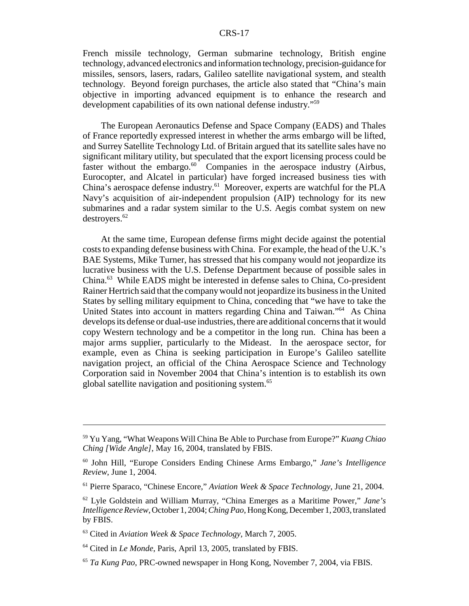French missile technology, German submarine technology, British engine technology, advanced electronics and information technology, precision-guidance for missiles, sensors, lasers, radars, Galileo satellite navigational system, and stealth technology. Beyond foreign purchases, the article also stated that "China's main objective in importing advanced equipment is to enhance the research and development capabilities of its own national defense industry."59

The European Aeronautics Defense and Space Company (EADS) and Thales of France reportedly expressed interest in whether the arms embargo will be lifted, and Surrey Satellite Technology Ltd. of Britain argued that its satellite sales have no significant military utility, but speculated that the export licensing process could be faster without the embargo.<sup>60</sup> Companies in the aerospace industry (Airbus, Eurocopter, and Alcatel in particular) have forged increased business ties with China's aerospace defense industry.61 Moreover, experts are watchful for the PLA Navy's acquisition of air-independent propulsion (AIP) technology for its new submarines and a radar system similar to the U.S. Aegis combat system on new destroyers.62

At the same time, European defense firms might decide against the potential costs to expanding defense business with China. For example, the head of the U.K.'s BAE Systems, Mike Turner, has stressed that his company would not jeopardize its lucrative business with the U.S. Defense Department because of possible sales in China.63 While EADS might be interested in defense sales to China, Co-president Rainer Hertrich said that the company would not jeopardize its business in the United States by selling military equipment to China, conceding that "we have to take the United States into account in matters regarding China and Taiwan."<sup>64</sup> As China develops its defense or dual-use industries, there are additional concerns that it would copy Western technology and be a competitor in the long run. China has been a major arms supplier, particularly to the Mideast. In the aerospace sector, for example, even as China is seeking participation in Europe's Galileo satellite navigation project, an official of the China Aerospace Science and Technology Corporation said in November 2004 that China's intention is to establish its own global satellite navigation and positioning system.<sup>65</sup>

<sup>59</sup> Yu Yang, "What Weapons Will China Be Able to Purchase from Europe?" *Kuang Chiao Ching [Wide Angle]*, May 16, 2004, translated by FBIS.

<sup>60</sup> John Hill, "Europe Considers Ending Chinese Arms Embargo," *Jane's Intelligence Review*, June 1, 2004.

<sup>61</sup> Pierre Sparaco, "Chinese Encore," *Aviation Week & Space Technology*, June 21, 2004.

<sup>62</sup> Lyle Goldstein and William Murray, "China Emerges as a Maritime Power," *Jane's Intelligence Review*, October 1, 2004; *Ching Pao*, Hong Kong, December 1, 2003, translated by FBIS.

<sup>63</sup> Cited in *Aviation Week & Space Technology*, March 7, 2005.

<sup>64</sup> Cited in *Le Monde*, Paris, April 13, 2005, translated by FBIS.

<sup>65</sup> *Ta Kung Pao*, PRC-owned newspaper in Hong Kong, November 7, 2004, via FBIS.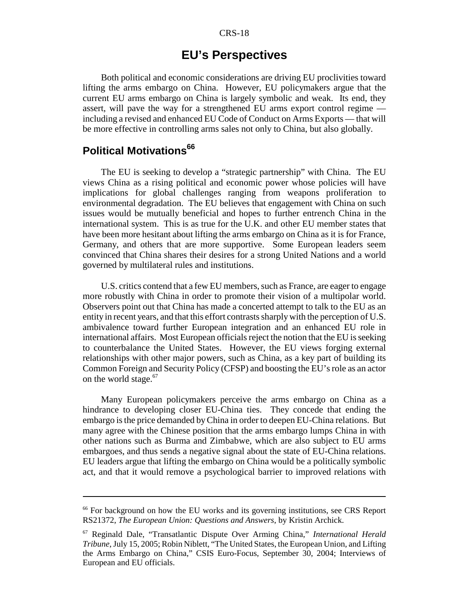## **EU's Perspectives**

Both political and economic considerations are driving EU proclivities toward lifting the arms embargo on China. However, EU policymakers argue that the current EU arms embargo on China is largely symbolic and weak. Its end, they assert, will pave the way for a strengthened EU arms export control regime including a revised and enhanced EU Code of Conduct on Arms Exports — that will be more effective in controlling arms sales not only to China, but also globally.

## **Political Motivations<sup>66</sup>**

The EU is seeking to develop a "strategic partnership" with China. The EU views China as a rising political and economic power whose policies will have implications for global challenges ranging from weapons proliferation to environmental degradation. The EU believes that engagement with China on such issues would be mutually beneficial and hopes to further entrench China in the international system. This is as true for the U.K. and other EU member states that have been more hesitant about lifting the arms embargo on China as it is for France, Germany, and others that are more supportive. Some European leaders seem convinced that China shares their desires for a strong United Nations and a world governed by multilateral rules and institutions.

U.S. critics contend that a few EU members, such as France, are eager to engage more robustly with China in order to promote their vision of a multipolar world. Observers point out that China has made a concerted attempt to talk to the EU as an entity in recent years, and that this effort contrasts sharply with the perception of U.S. ambivalence toward further European integration and an enhanced EU role in international affairs. Most European officials reject the notion that the EU is seeking to counterbalance the United States. However, the EU views forging external relationships with other major powers, such as China, as a key part of building its Common Foreign and Security Policy (CFSP) and boosting the EU's role as an actor on the world stage.<sup>67</sup>

Many European policymakers perceive the arms embargo on China as a hindrance to developing closer EU-China ties. They concede that ending the embargo is the price demanded by China in order to deepen EU-China relations. But many agree with the Chinese position that the arms embargo lumps China in with other nations such as Burma and Zimbabwe, which are also subject to EU arms embargoes, and thus sends a negative signal about the state of EU-China relations. EU leaders argue that lifting the embargo on China would be a politically symbolic act, and that it would remove a psychological barrier to improved relations with

<sup>&</sup>lt;sup>66</sup> For background on how the EU works and its governing institutions, see CRS Report RS21372, *The European Union: Questions and Answers*, by Kristin Archick.

<sup>67</sup> Reginald Dale, "Transatlantic Dispute Over Arming China," *International Herald Tribune*, July 15, 2005; Robin Niblett, "The United States, the European Union, and Lifting the Arms Embargo on China," CSIS Euro-Focus, September 30, 2004; Interviews of European and EU officials.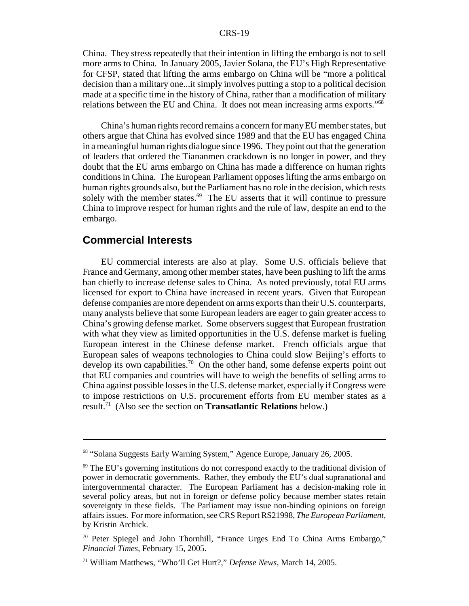China. They stress repeatedly that their intention in lifting the embargo is not to sell more arms to China. In January 2005, Javier Solana, the EU's High Representative for CFSP, stated that lifting the arms embargo on China will be "more a political decision than a military one...it simply involves putting a stop to a political decision made at a specific time in the history of China, rather than a modification of military relations between the EU and China. It does not mean increasing arms exports."68

China's human rights record remains a concern for many EU member states, but others argue that China has evolved since 1989 and that the EU has engaged China in a meaningful human rights dialogue since 1996. They point out that the generation of leaders that ordered the Tiananmen crackdown is no longer in power, and they doubt that the EU arms embargo on China has made a difference on human rights conditions in China. The European Parliament opposes lifting the arms embargo on human rights grounds also, but the Parliament has no role in the decision, which rests solely with the member states.<sup>69</sup> The EU asserts that it will continue to pressure China to improve respect for human rights and the rule of law, despite an end to the embargo.

## **Commercial Interests**

EU commercial interests are also at play. Some U.S. officials believe that France and Germany, among other member states, have been pushing to lift the arms ban chiefly to increase defense sales to China. As noted previously, total EU arms licensed for export to China have increased in recent years. Given that European defense companies are more dependent on arms exports than their U.S. counterparts, many analysts believe that some European leaders are eager to gain greater access to China's growing defense market. Some observers suggest that European frustration with what they view as limited opportunities in the U.S. defense market is fueling European interest in the Chinese defense market. French officials argue that European sales of weapons technologies to China could slow Beijing's efforts to develop its own capabilities.<sup>70</sup> On the other hand, some defense experts point out that EU companies and countries will have to weigh the benefits of selling arms to China against possible losses in the U.S. defense market, especially if Congress were to impose restrictions on U.S. procurement efforts from EU member states as a result.71 (Also see the section on **Transatlantic Relations** below.)

<sup>68 &</sup>quot;Solana Suggests Early Warning System," Agence Europe, January 26, 2005.

<sup>69</sup> The EU's governing institutions do not correspond exactly to the traditional division of power in democratic governments. Rather, they embody the EU's dual supranational and intergovernmental character. The European Parliament has a decision-making role in several policy areas, but not in foreign or defense policy because member states retain sovereignty in these fields. The Parliament may issue non-binding opinions on foreign affairs issues. For more information, see CRS Report RS21998, *The European Parliament*, by Kristin Archick.

<sup>70</sup> Peter Spiegel and John Thornhill, "France Urges End To China Arms Embargo," *Financial Times*, February 15, 2005.

<sup>71</sup> William Matthews, "Who'll Get Hurt?," *Defense News*, March 14, 2005.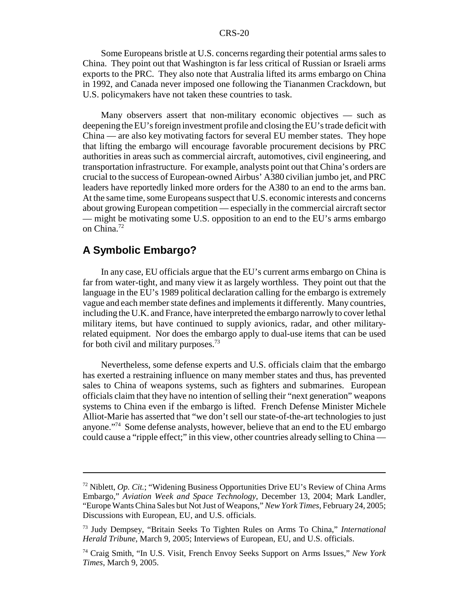Some Europeans bristle at U.S. concerns regarding their potential arms sales to China. They point out that Washington is far less critical of Russian or Israeli arms exports to the PRC. They also note that Australia lifted its arms embargo on China in 1992, and Canada never imposed one following the Tiananmen Crackdown, but U.S. policymakers have not taken these countries to task.

Many observers assert that non-military economic objectives — such as deepening the EU's foreign investment profile and closing the EU's trade deficit with China — are also key motivating factors for several EU member states. They hope that lifting the embargo will encourage favorable procurement decisions by PRC authorities in areas such as commercial aircraft, automotives, civil engineering, and transportation infrastructure. For example, analysts point out that China's orders are crucial to the success of European-owned Airbus' A380 civilian jumbo jet, and PRC leaders have reportedly linked more orders for the A380 to an end to the arms ban. At the same time, some Europeans suspect that U.S. economic interests and concerns about growing European competition — especially in the commercial aircraft sector — might be motivating some U.S. opposition to an end to the EU's arms embargo on China.72

## **A Symbolic Embargo?**

In any case, EU officials argue that the EU's current arms embargo on China is far from water-tight, and many view it as largely worthless. They point out that the language in the EU's 1989 political declaration calling for the embargo is extremely vague and each member state defines and implements it differently. Many countries, including the U.K. and France, have interpreted the embargo narrowly to cover lethal military items, but have continued to supply avionics, radar, and other militaryrelated equipment. Nor does the embargo apply to dual-use items that can be used for both civil and military purposes.<sup>73</sup>

Nevertheless, some defense experts and U.S. officials claim that the embargo has exerted a restraining influence on many member states and thus, has prevented sales to China of weapons systems, such as fighters and submarines. European officials claim that they have no intention of selling their "next generation" weapons systems to China even if the embargo is lifted. French Defense Minister Michele Alliot-Marie has asserted that "we don't sell our state-of-the-art technologies to just anyone."74 Some defense analysts, however, believe that an end to the EU embargo could cause a "ripple effect;" in this view, other countries already selling to China —

<sup>72</sup> Niblett, *Op. Cit.*; "Widening Business Opportunities Drive EU's Review of China Arms Embargo," *Aviation Week and Space Technology*, December 13, 2004; Mark Landler, "Europe Wants China Sales but Not Just of Weapons," *New York Times*, February 24, 2005; Discussions with European, EU, and U.S. officials.

<sup>73</sup> Judy Dempsey, "Britain Seeks To Tighten Rules on Arms To China," *International Herald Tribune*, March 9, 2005; Interviews of European, EU, and U.S. officials.

<sup>74</sup> Craig Smith, "In U.S. Visit, French Envoy Seeks Support on Arms Issues," *New York Times*, March 9, 2005.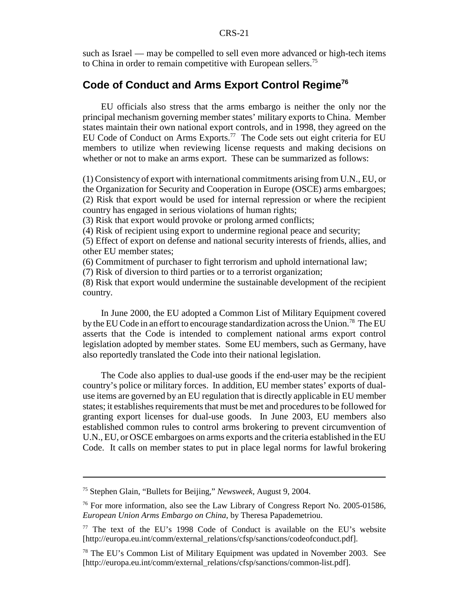such as Israel — may be compelled to sell even more advanced or high-tech items to China in order to remain competitive with European sellers.<sup>75</sup>

## **Code of Conduct and Arms Export Control Regime76**

EU officials also stress that the arms embargo is neither the only nor the principal mechanism governing member states' military exports to China. Member states maintain their own national export controls, and in 1998, they agreed on the EU Code of Conduct on Arms Exports.<sup>77</sup> The Code sets out eight criteria for EU members to utilize when reviewing license requests and making decisions on whether or not to make an arms export. These can be summarized as follows:

(1) Consistency of export with international commitments arising from U.N., EU, or the Organization for Security and Cooperation in Europe (OSCE) arms embargoes; (2) Risk that export would be used for internal repression or where the recipient country has engaged in serious violations of human rights;

(3) Risk that export would provoke or prolong armed conflicts;

(4) Risk of recipient using export to undermine regional peace and security;

(5) Effect of export on defense and national security interests of friends, allies, and other EU member states;

(6) Commitment of purchaser to fight terrorism and uphold international law;

(7) Risk of diversion to third parties or to a terrorist organization;

(8) Risk that export would undermine the sustainable development of the recipient country.

In June 2000, the EU adopted a Common List of Military Equipment covered by the EU Code in an effort to encourage standardization across the Union.<sup>78</sup> The EU asserts that the Code is intended to complement national arms export control legislation adopted by member states. Some EU members, such as Germany, have also reportedly translated the Code into their national legislation.

The Code also applies to dual-use goods if the end-user may be the recipient country's police or military forces. In addition, EU member states' exports of dualuse items are governed by an EU regulation that is directly applicable in EU member states; it establishes requirements that must be met and procedures to be followed for granting export licenses for dual-use goods. In June 2003, EU members also established common rules to control arms brokering to prevent circumvention of U.N., EU, or OSCE embargoes on arms exports and the criteria established in the EU Code. It calls on member states to put in place legal norms for lawful brokering

<sup>75</sup> Stephen Glain, "Bullets for Beijing," *Newsweek*, August 9, 2004.

<sup>76</sup> For more information, also see the Law Library of Congress Report No. 2005-01586, *European Union Arms Embargo on China*, by Theresa Papademetriou.

<sup>77</sup> The text of the EU's 1998 Code of Conduct is available on the EU's website [http://europa.eu.int/comm/external\_relations/cfsp/sanctions/codeofconduct.pdf].

<sup>&</sup>lt;sup>78</sup> The EU's Common List of Military Equipment was updated in November 2003. See [http://europa.eu.int/comm/external\_relations/cfsp/sanctions/common-list.pdf].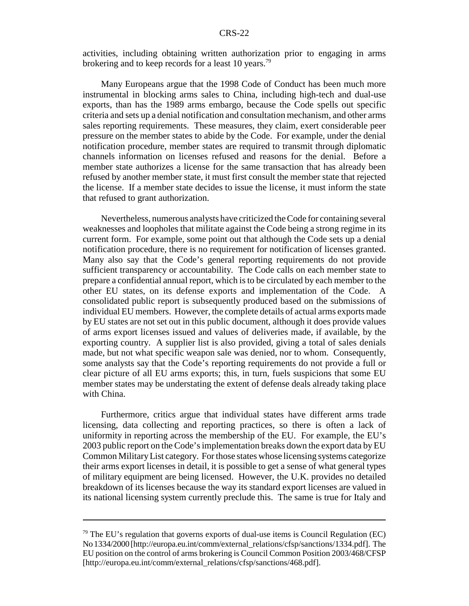activities, including obtaining written authorization prior to engaging in arms brokering and to keep records for a least 10 years.<sup>79</sup>

Many Europeans argue that the 1998 Code of Conduct has been much more instrumental in blocking arms sales to China, including high-tech and dual-use exports, than has the 1989 arms embargo, because the Code spells out specific criteria and sets up a denial notification and consultation mechanism, and other arms sales reporting requirements. These measures, they claim, exert considerable peer pressure on the member states to abide by the Code. For example, under the denial notification procedure, member states are required to transmit through diplomatic channels information on licenses refused and reasons for the denial. Before a member state authorizes a license for the same transaction that has already been refused by another member state, it must first consult the member state that rejected the license. If a member state decides to issue the license, it must inform the state that refused to grant authorization.

Nevertheless, numerous analysts have criticized the Code for containing several weaknesses and loopholes that militate against the Code being a strong regime in its current form. For example, some point out that although the Code sets up a denial notification procedure, there is no requirement for notification of licenses granted. Many also say that the Code's general reporting requirements do not provide sufficient transparency or accountability. The Code calls on each member state to prepare a confidential annual report, which is to be circulated by each member to the other EU states, on its defense exports and implementation of the Code. A consolidated public report is subsequently produced based on the submissions of individual EU members. However, the complete details of actual arms exports made by EU states are not set out in this public document, although it does provide values of arms export licenses issued and values of deliveries made, if available, by the exporting country. A supplier list is also provided, giving a total of sales denials made, but not what specific weapon sale was denied, nor to whom. Consequently, some analysts say that the Code's reporting requirements do not provide a full or clear picture of all EU arms exports; this, in turn, fuels suspicions that some EU member states may be understating the extent of defense deals already taking place with China.

Furthermore, critics argue that individual states have different arms trade licensing, data collecting and reporting practices, so there is often a lack of uniformity in reporting across the membership of the EU. For example, the EU's 2003 public report on the Code's implementation breaks down the export data by EU Common Military List category. For those states whose licensing systems categorize their arms export licenses in detail, it is possible to get a sense of what general types of military equipment are being licensed. However, the U.K. provides no detailed breakdown of its licenses because the way its standard export licenses are valued in its national licensing system currently preclude this. The same is true for Italy and

 $79$  The EU's regulation that governs exports of dual-use items is Council Regulation (EC) No 1334/2000 [http://europa.eu.int/comm/external\_relations/cfsp/sanctions/1334.pdf]. The EU position on the control of arms brokering is Council Common Position 2003/468/CFSP [http://europa.eu.int/comm/external\_relations/cfsp/sanctions/468.pdf].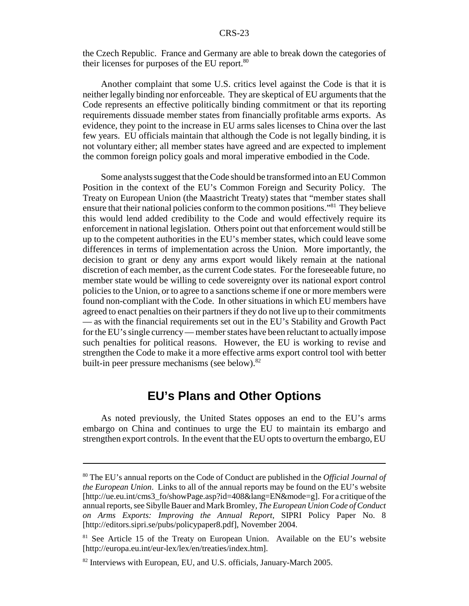the Czech Republic. France and Germany are able to break down the categories of their licenses for purposes of the EU report.<sup>80</sup>

Another complaint that some U.S. critics level against the Code is that it is neither legally binding nor enforceable. They are skeptical of EU arguments that the Code represents an effective politically binding commitment or that its reporting requirements dissuade member states from financially profitable arms exports. As evidence, they point to the increase in EU arms sales licenses to China over the last few years. EU officials maintain that although the Code is not legally binding, it is not voluntary either; all member states have agreed and are expected to implement the common foreign policy goals and moral imperative embodied in the Code.

Some analysts suggest that the Code should be transformed into an EU Common Position in the context of the EU's Common Foreign and Security Policy. The Treaty on European Union (the Maastricht Treaty) states that "member states shall ensure that their national policies conform to the common positions."81 They believe this would lend added credibility to the Code and would effectively require its enforcement in national legislation. Others point out that enforcement would still be up to the competent authorities in the EU's member states, which could leave some differences in terms of implementation across the Union. More importantly, the decision to grant or deny any arms export would likely remain at the national discretion of each member, as the current Code states. For the foreseeable future, no member state would be willing to cede sovereignty over its national export control policies to the Union, or to agree to a sanctions scheme if one or more members were found non-compliant with the Code. In other situations in which EU members have agreed to enact penalties on their partners if they do not live up to their commitments — as with the financial requirements set out in the EU's Stability and Growth Pact for the EU's single currency — member states have been reluctant to actually impose such penalties for political reasons. However, the EU is working to revise and strengthen the Code to make it a more effective arms export control tool with better built-in peer pressure mechanisms (see below).<sup>82</sup>

## **EU's Plans and Other Options**

As noted previously, the United States opposes an end to the EU's arms embargo on China and continues to urge the EU to maintain its embargo and strengthen export controls. In the event that the EU opts to overturn the embargo, EU

<sup>80</sup> The EU's annual reports on the Code of Conduct are published in the *Official Journal of the European Union*. Links to all of the annual reports may be found on the EU's website [http://ue.eu.int/cms3\_fo/showPage.asp?id=408&lang=EN&mode=g]. For a critique of the annual reports, see Sibylle Bauer and Mark Bromley, *The European Union Code of Conduct on Arms Exports: Improving the Annual Report*, SIPRI Policy Paper No. 8 [http://editors.sipri.se/pubs/policypaper8.pdf], November 2004.

<sup>&</sup>lt;sup>81</sup> See Article 15 of the Treaty on European Union. Available on the EU's website [http://europa.eu.int/eur-lex/lex/en/treaties/index.htm].

<sup>&</sup>lt;sup>82</sup> Interviews with European, EU, and U.S. officials, January-March 2005.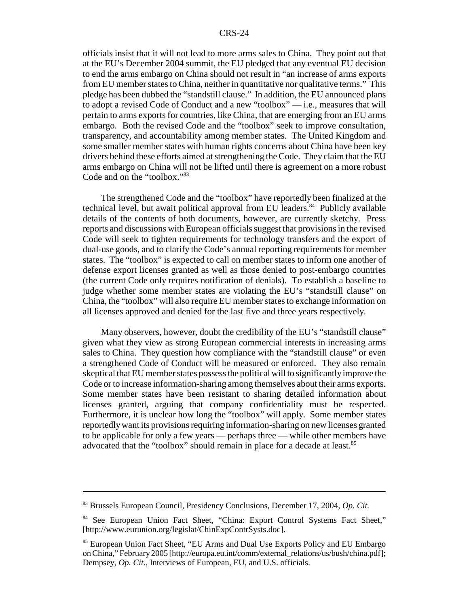officials insist that it will not lead to more arms sales to China. They point out that at the EU's December 2004 summit, the EU pledged that any eventual EU decision to end the arms embargo on China should not result in "an increase of arms exports from EU member states to China, neither in quantitative nor qualitative terms." This pledge has been dubbed the "standstill clause." In addition, the EU announced plans to adopt a revised Code of Conduct and a new "toolbox" — i.e., measures that will pertain to arms exports for countries, like China, that are emerging from an EU arms embargo. Both the revised Code and the "toolbox" seek to improve consultation, transparency, and accountability among member states. The United Kingdom and some smaller member states with human rights concerns about China have been key drivers behind these efforts aimed at strengthening the Code. They claim that the EU arms embargo on China will not be lifted until there is agreement on a more robust Code and on the "toolbox."83

The strengthened Code and the "toolbox" have reportedly been finalized at the technical level, but await political approval from EU leaders.<sup>84</sup> Publicly available details of the contents of both documents, however, are currently sketchy. Press reports and discussions with European officials suggest that provisions in the revised Code will seek to tighten requirements for technology transfers and the export of dual-use goods, and to clarify the Code's annual reporting requirements for member states. The "toolbox" is expected to call on member states to inform one another of defense export licenses granted as well as those denied to post-embargo countries (the current Code only requires notification of denials). To establish a baseline to judge whether some member states are violating the EU's "standstill clause" on China, the "toolbox" will also require EU member states to exchange information on all licenses approved and denied for the last five and three years respectively.

Many observers, however, doubt the credibility of the EU's "standstill clause" given what they view as strong European commercial interests in increasing arms sales to China. They question how compliance with the "standstill clause" or even a strengthened Code of Conduct will be measured or enforced. They also remain skeptical that EU member states possess the political will to significantly improve the Code or to increase information-sharing among themselves about their arms exports. Some member states have been resistant to sharing detailed information about licenses granted, arguing that company confidentiality must be respected. Furthermore, it is unclear how long the "toolbox" will apply. Some member states reportedly want its provisions requiring information-sharing on new licenses granted to be applicable for only a few years — perhaps three — while other members have advocated that the "toolbox" should remain in place for a decade at least.<sup>85</sup>

<sup>83</sup> Brussels European Council, Presidency Conclusions, December 17, 2004, *Op. Cit.*

<sup>84</sup> See European Union Fact Sheet, "China: Export Control Systems Fact Sheet," [http://www.eurunion.org/legislat/ChinExpContrSysts.doc].

<sup>85</sup> European Union Fact Sheet, "EU Arms and Dual Use Exports Policy and EU Embargo on China," February 2005 [http://europa.eu.int/comm/external\_relations/us/bush/china.pdf]; Dempsey, *Op. Cit*., Interviews of European, EU, and U.S. officials.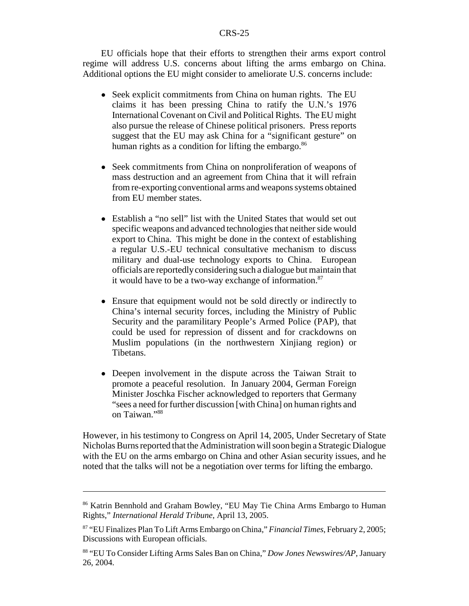EU officials hope that their efforts to strengthen their arms export control regime will address U.S. concerns about lifting the arms embargo on China. Additional options the EU might consider to ameliorate U.S. concerns include:

- Seek explicit commitments from China on human rights. The EU claims it has been pressing China to ratify the U.N.'s 1976 International Covenant on Civil and Political Rights. The EU might also pursue the release of Chinese political prisoners. Press reports suggest that the EU may ask China for a "significant gesture" on human rights as a condition for lifting the embargo.<sup>86</sup>
- Seek commitments from China on nonproliferation of weapons of mass destruction and an agreement from China that it will refrain from re-exporting conventional arms and weapons systems obtained from EU member states.
- Establish a "no sell" list with the United States that would set out specific weapons and advanced technologies that neither side would export to China. This might be done in the context of establishing a regular U.S.-EU technical consultative mechanism to discuss military and dual-use technology exports to China. European officials are reportedly considering such a dialogue but maintain that it would have to be a two-way exchange of information. $87$
- Ensure that equipment would not be sold directly or indirectly to China's internal security forces, including the Ministry of Public Security and the paramilitary People's Armed Police (PAP), that could be used for repression of dissent and for crackdowns on Muslim populations (in the northwestern Xinjiang region) or Tibetans.
- Deepen involvement in the dispute across the Taiwan Strait to promote a peaceful resolution. In January 2004, German Foreign Minister Joschka Fischer acknowledged to reporters that Germany "sees a need for further discussion [with China] on human rights and on Taiwan."88

However, in his testimony to Congress on April 14, 2005, Under Secretary of State Nicholas Burns reported that the Administration will soon begin a Strategic Dialogue with the EU on the arms embargo on China and other Asian security issues, and he noted that the talks will not be a negotiation over terms for lifting the embargo.

<sup>86</sup> Katrin Bennhold and Graham Bowley, "EU May Tie China Arms Embargo to Human Rights," *International Herald Tribune*, April 13, 2005.

<sup>87 &</sup>quot;EU Finalizes Plan To Lift Arms Embargo on China," *Financial Times*, February 2, 2005; Discussions with European officials.

<sup>88 &</sup>quot;EU To Consider Lifting Arms Sales Ban on China," *Dow Jones Newswires/AP*, January 26, 2004.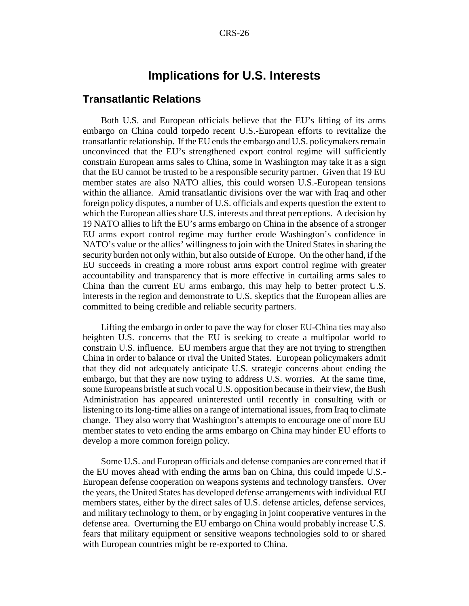## **Implications for U.S. Interests**

#### **Transatlantic Relations**

Both U.S. and European officials believe that the EU's lifting of its arms embargo on China could torpedo recent U.S.-European efforts to revitalize the transatlantic relationship. If the EU ends the embargo and U.S. policymakers remain unconvinced that the EU's strengthened export control regime will sufficiently constrain European arms sales to China, some in Washington may take it as a sign that the EU cannot be trusted to be a responsible security partner. Given that 19 EU member states are also NATO allies, this could worsen U.S.-European tensions within the alliance. Amid transatlantic divisions over the war with Iraq and other foreign policy disputes, a number of U.S. officials and experts question the extent to which the European allies share U.S. interests and threat perceptions. A decision by 19 NATO allies to lift the EU's arms embargo on China in the absence of a stronger EU arms export control regime may further erode Washington's confidence in NATO's value or the allies' willingness to join with the United States in sharing the security burden not only within, but also outside of Europe. On the other hand, if the EU succeeds in creating a more robust arms export control regime with greater accountability and transparency that is more effective in curtailing arms sales to China than the current EU arms embargo, this may help to better protect U.S. interests in the region and demonstrate to U.S. skeptics that the European allies are committed to being credible and reliable security partners.

Lifting the embargo in order to pave the way for closer EU-China ties may also heighten U.S. concerns that the EU is seeking to create a multipolar world to constrain U.S. influence. EU members argue that they are not trying to strengthen China in order to balance or rival the United States. European policymakers admit that they did not adequately anticipate U.S. strategic concerns about ending the embargo, but that they are now trying to address U.S. worries. At the same time, some Europeans bristle at such vocal U.S. opposition because in their view, the Bush Administration has appeared uninterested until recently in consulting with or listening to its long-time allies on a range of international issues, from Iraq to climate change. They also worry that Washington's attempts to encourage one of more EU member states to veto ending the arms embargo on China may hinder EU efforts to develop a more common foreign policy.

Some U.S. and European officials and defense companies are concerned that if the EU moves ahead with ending the arms ban on China, this could impede U.S.- European defense cooperation on weapons systems and technology transfers. Over the years, the United States has developed defense arrangements with individual EU members states, either by the direct sales of U.S. defense articles, defense services, and military technology to them, or by engaging in joint cooperative ventures in the defense area. Overturning the EU embargo on China would probably increase U.S. fears that military equipment or sensitive weapons technologies sold to or shared with European countries might be re-exported to China.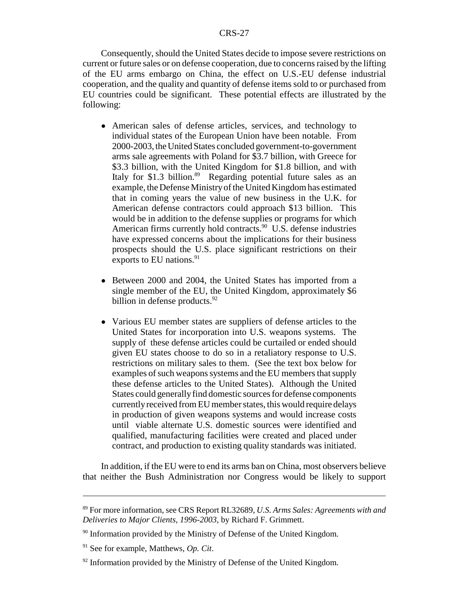Consequently, should the United States decide to impose severe restrictions on current or future sales or on defense cooperation, due to concerns raised by the lifting of the EU arms embargo on China, the effect on U.S.-EU defense industrial cooperation, and the quality and quantity of defense items sold to or purchased from EU countries could be significant. These potential effects are illustrated by the following:

- ! American sales of defense articles, services, and technology to individual states of the European Union have been notable. From 2000-2003, the United States concluded government-to-government arms sale agreements with Poland for \$3.7 billion, with Greece for \$3.3 billion, with the United Kingdom for \$1.8 billion, and with Italy for \$1.3 billion.<sup>89</sup> Regarding potential future sales as an example, the Defense Ministry of the United Kingdom has estimated that in coming years the value of new business in the U.K. for American defense contractors could approach \$13 billion. This would be in addition to the defense supplies or programs for which American firms currently hold contracts.<sup>90</sup> U.S. defense industries have expressed concerns about the implications for their business prospects should the U.S. place significant restrictions on their exports to EU nations. $91$
- Between 2000 and 2004, the United States has imported from a single member of the EU, the United Kingdom, approximately \$6 billion in defense products.<sup>92</sup>
- ! Various EU member states are suppliers of defense articles to the United States for incorporation into U.S. weapons systems. The supply of these defense articles could be curtailed or ended should given EU states choose to do so in a retaliatory response to U.S. restrictions on military sales to them. (See the text box below for examples of such weapons systems and the EU members that supply these defense articles to the United States). Although the United States could generally find domestic sources for defense components currently received from EU member states, this would require delays in production of given weapons systems and would increase costs until viable alternate U.S. domestic sources were identified and qualified, manufacturing facilities were created and placed under contract, and production to existing quality standards was initiated.

In addition, if the EU were to end its arms ban on China, most observers believe that neither the Bush Administration nor Congress would be likely to support

<sup>89</sup> For more information, see CRS Report RL32689, *U.S. Arms Sales: Agreements with and Deliveries to Major Clients, 1996-2003*, by Richard F. Grimmett.

 $90$  Information provided by the Ministry of Defense of the United Kingdom.

<sup>91</sup> See for example, Matthews, *Op. Cit*.

 $92$  Information provided by the Ministry of Defense of the United Kingdom.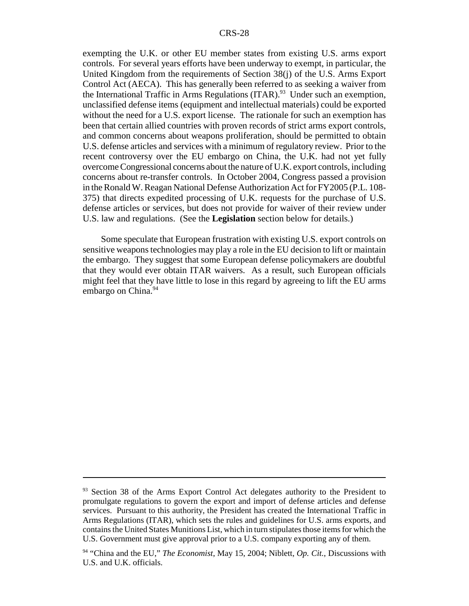exempting the U.K. or other EU member states from existing U.S. arms export controls. For several years efforts have been underway to exempt, in particular, the United Kingdom from the requirements of Section 38(j) of the U.S. Arms Export Control Act (AECA). This has generally been referred to as seeking a waiver from the International Traffic in Arms Regulations  $(ITAR)$ <sup>93</sup> Under such an exemption, unclassified defense items (equipment and intellectual materials) could be exported without the need for a U.S. export license. The rationale for such an exemption has been that certain allied countries with proven records of strict arms export controls, and common concerns about weapons proliferation, should be permitted to obtain U.S. defense articles and services with a minimum of regulatory review. Prior to the recent controversy over the EU embargo on China, the U.K. had not yet fully overcome Congressional concerns about the nature of U.K. export controls, including concerns about re-transfer controls. In October 2004, Congress passed a provision in the Ronald W. Reagan National Defense Authorization Act for FY2005 (P.L. 108- 375) that directs expedited processing of U.K. requests for the purchase of U.S. defense articles or services, but does not provide for waiver of their review under U.S. law and regulations. (See the **Legislation** section below for details.)

Some speculate that European frustration with existing U.S. export controls on sensitive weapons technologies may play a role in the EU decision to lift or maintain the embargo. They suggest that some European defense policymakers are doubtful that they would ever obtain ITAR waivers. As a result, such European officials might feel that they have little to lose in this regard by agreeing to lift the EU arms embargo on China.<sup>94</sup>

<sup>&</sup>lt;sup>93</sup> Section 38 of the Arms Export Control Act delegates authority to the President to promulgate regulations to govern the export and import of defense articles and defense services. Pursuant to this authority, the President has created the International Traffic in Arms Regulations (ITAR), which sets the rules and guidelines for U.S. arms exports, and contains the United States Munitions List, which in turn stipulates those items for which the U.S. Government must give approval prior to a U.S. company exporting any of them.

<sup>94 &</sup>quot;China and the EU," *The Economist*, May 15, 2004; Niblett, *Op. Cit.*, Discussions with U.S. and U.K. officials.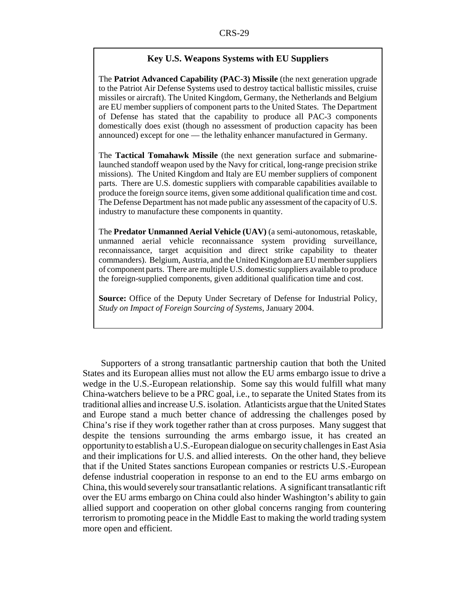#### **Key U.S. Weapons Systems with EU Suppliers**

The **Patriot Advanced Capability (PAC-3) Missile** (the next generation upgrade to the Patriot Air Defense Systems used to destroy tactical ballistic missiles, cruise missiles or aircraft). The United Kingdom, Germany, the Netherlands and Belgium are EU member suppliers of component parts to the United States. The Department of Defense has stated that the capability to produce all PAC-3 components domestically does exist (though no assessment of production capacity has been announced) except for one — the lethality enhancer manufactured in Germany.

The **Tactical Tomahawk Missile** (the next generation surface and submarinelaunched standoff weapon used by the Navy for critical, long-range precision strike missions). The United Kingdom and Italy are EU member suppliers of component parts. There are U.S. domestic suppliers with comparable capabilities available to produce the foreign source items, given some additional qualification time and cost. The Defense Department has not made public any assessment of the capacity of U.S. industry to manufacture these components in quantity.

The **Predator Unmanned Aerial Vehicle (UAV)** (a semi-autonomous, retaskable, unmanned aerial vehicle reconnaissance system providing surveillance, reconnaissance, target acquisition and direct strike capability to theater commanders). Belgium, Austria, and the United Kingdom are EU member suppliers of component parts. There are multiple U.S. domestic suppliers available to produce the foreign-supplied components, given additional qualification time and cost.

**Source:** Office of the Deputy Under Secretary of Defense for Industrial Policy, *Study on Impact of Foreign Sourcing of Systems*, January 2004.

Supporters of a strong transatlantic partnership caution that both the United States and its European allies must not allow the EU arms embargo issue to drive a wedge in the U.S.-European relationship. Some say this would fulfill what many China-watchers believe to be a PRC goal, i.e., to separate the United States from its traditional allies and increase U.S. isolation. Atlanticists argue that the United States and Europe stand a much better chance of addressing the challenges posed by China's rise if they work together rather than at cross purposes. Many suggest that despite the tensions surrounding the arms embargo issue, it has created an opportunity to establish a U.S.-European dialogue on security challenges in East Asia and their implications for U.S. and allied interests. On the other hand, they believe that if the United States sanctions European companies or restricts U.S.-European defense industrial cooperation in response to an end to the EU arms embargo on China, this would severely sour transatlantic relations. A significant transatlantic rift over the EU arms embargo on China could also hinder Washington's ability to gain allied support and cooperation on other global concerns ranging from countering terrorism to promoting peace in the Middle East to making the world trading system more open and efficient.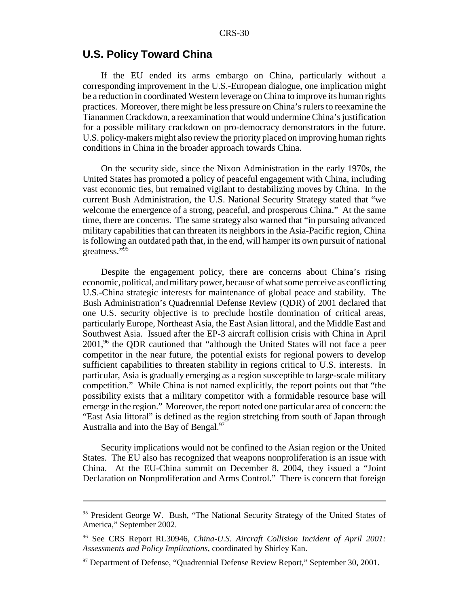## **U.S. Policy Toward China**

If the EU ended its arms embargo on China, particularly without a corresponding improvement in the U.S.-European dialogue, one implication might be a reduction in coordinated Western leverage on China to improve its human rights practices. Moreover, there might be less pressure on China's rulers to reexamine the Tiananmen Crackdown, a reexamination that would undermine China's justification for a possible military crackdown on pro-democracy demonstrators in the future. U.S. policy-makers might also review the priority placed on improving human rights conditions in China in the broader approach towards China.

On the security side, since the Nixon Administration in the early 1970s, the United States has promoted a policy of peaceful engagement with China, including vast economic ties, but remained vigilant to destabilizing moves by China. In the current Bush Administration, the U.S. National Security Strategy stated that "we welcome the emergence of a strong, peaceful, and prosperous China." At the same time, there are concerns. The same strategy also warned that "in pursuing advanced military capabilities that can threaten its neighbors in the Asia-Pacific region, China is following an outdated path that, in the end, will hamper its own pursuit of national greatness."95

Despite the engagement policy, there are concerns about China's rising economic, political, and military power, because of what some perceive as conflicting U.S.-China strategic interests for maintenance of global peace and stability. The Bush Administration's Quadrennial Defense Review (QDR) of 2001 declared that one U.S. security objective is to preclude hostile domination of critical areas, particularly Europe, Northeast Asia, the East Asian littoral, and the Middle East and Southwest Asia. Issued after the EP-3 aircraft collision crisis with China in April  $2001<sup>96</sup>$  the QDR cautioned that "although the United States will not face a peer competitor in the near future, the potential exists for regional powers to develop sufficient capabilities to threaten stability in regions critical to U.S. interests. In particular, Asia is gradually emerging as a region susceptible to large-scale military competition." While China is not named explicitly, the report points out that "the possibility exists that a military competitor with a formidable resource base will emerge in the region." Moreover, the report noted one particular area of concern: the "East Asia littoral" is defined as the region stretching from south of Japan through Australia and into the Bay of Bengal.<sup>97</sup>

Security implications would not be confined to the Asian region or the United States. The EU also has recognized that weapons nonproliferation is an issue with China. At the EU-China summit on December 8, 2004, they issued a "Joint Declaration on Nonproliferation and Arms Control." There is concern that foreign

<sup>&</sup>lt;sup>95</sup> President George W. Bush, "The National Security Strategy of the United States of America," September 2002.

<sup>96</sup> See CRS Report RL30946, *China-U.S. Aircraft Collision Incident of April 2001: Assessments and Policy Implications*, coordinated by Shirley Kan.

 $97$  Department of Defense, "Quadrennial Defense Review Report," September 30, 2001.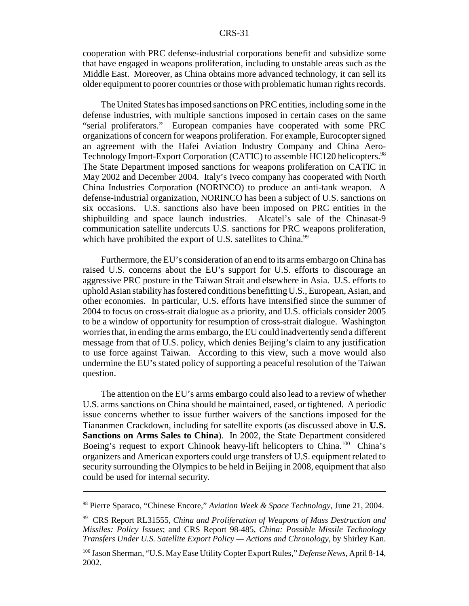cooperation with PRC defense-industrial corporations benefit and subsidize some that have engaged in weapons proliferation, including to unstable areas such as the Middle East. Moreover, as China obtains more advanced technology, it can sell its older equipment to poorer countries or those with problematic human rights records.

The United States has imposed sanctions on PRC entities, including some in the defense industries, with multiple sanctions imposed in certain cases on the same "serial proliferators." European companies have cooperated with some PRC organizations of concern for weapons proliferation. For example, Eurocopter signed an agreement with the Hafei Aviation Industry Company and China Aero-Technology Import-Export Corporation (CATIC) to assemble HC120 helicopters.<sup>98</sup> The State Department imposed sanctions for weapons proliferation on CATIC in May 2002 and December 2004. Italy's Iveco company has cooperated with North China Industries Corporation (NORINCO) to produce an anti-tank weapon. A defense-industrial organization, NORINCO has been a subject of U.S. sanctions on six occasions. U.S. sanctions also have been imposed on PRC entities in the shipbuilding and space launch industries. Alcatel's sale of the Chinasat-9 communication satellite undercuts U.S. sanctions for PRC weapons proliferation, which have prohibited the export of U.S. satellites to China.<sup>99</sup>

Furthermore, the EU's consideration of an end to its arms embargo on China has raised U.S. concerns about the EU's support for U.S. efforts to discourage an aggressive PRC posture in the Taiwan Strait and elsewhere in Asia. U.S. efforts to uphold Asian stability has fostered conditions benefitting U.S., European, Asian, and other economies. In particular, U.S. efforts have intensified since the summer of 2004 to focus on cross-strait dialogue as a priority, and U.S. officials consider 2005 to be a window of opportunity for resumption of cross-strait dialogue. Washington worries that, in ending the arms embargo, the EU could inadvertently send a different message from that of U.S. policy, which denies Beijing's claim to any justification to use force against Taiwan. According to this view, such a move would also undermine the EU's stated policy of supporting a peaceful resolution of the Taiwan question.

The attention on the EU's arms embargo could also lead to a review of whether U.S. arms sanctions on China should be maintained, eased, or tightened. A periodic issue concerns whether to issue further waivers of the sanctions imposed for the Tiananmen Crackdown, including for satellite exports (as discussed above in **U.S. Sanctions on Arms Sales to China**). In 2002, the State Department considered Boeing's request to export Chinook heavy-lift helicopters to China.<sup>100</sup> China's organizers and American exporters could urge transfers of U.S. equipment related to security surrounding the Olympics to be held in Beijing in 2008, equipment that also could be used for internal security.

<sup>98</sup> Pierre Sparaco, "Chinese Encore," *Aviation Week & Space Technology*, June 21, 2004.

<sup>99</sup> CRS Report RL31555, *China and Proliferation of Weapons of Mass Destruction and Missiles: Policy Issues*; and CRS Report 98-485, *China: Possible Missile Technology Transfers Under U.S. Satellite Export Policy — Actions and Chronology*, by Shirley Kan.

<sup>100</sup> Jason Sherman, "U.S. May Ease Utility Copter Export Rules," *Defense News*, April 8-14, 2002.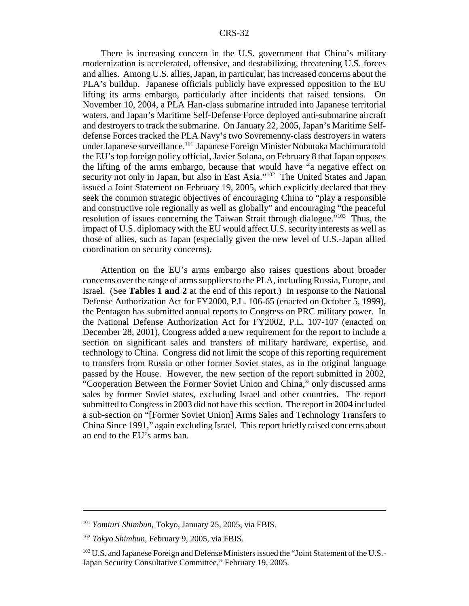There is increasing concern in the U.S. government that China's military modernization is accelerated, offensive, and destabilizing, threatening U.S. forces and allies. Among U.S. allies, Japan, in particular, has increased concerns about the PLA's buildup. Japanese officials publicly have expressed opposition to the EU lifting its arms embargo, particularly after incidents that raised tensions. On November 10, 2004, a PLA Han-class submarine intruded into Japanese territorial waters, and Japan's Maritime Self-Defense Force deployed anti-submarine aircraft and destroyers to track the submarine. On January 22, 2005, Japan's Maritime Selfdefense Forces tracked the PLA Navy's two Sovremenny-class destroyers in waters under Japanese surveillance.<sup>101</sup> Japanese Foreign Minister Nobutaka Machimura told the EU's top foreign policy official, Javier Solana, on February 8 that Japan opposes the lifting of the arms embargo, because that would have "a negative effect on security not only in Japan, but also in East Asia."<sup>102</sup> The United States and Japan issued a Joint Statement on February 19, 2005, which explicitly declared that they seek the common strategic objectives of encouraging China to "play a responsible and constructive role regionally as well as globally" and encouraging "the peaceful resolution of issues concerning the Taiwan Strait through dialogue."<sup>103</sup> Thus, the impact of U.S. diplomacy with the EU would affect U.S. security interests as well as those of allies, such as Japan (especially given the new level of U.S.-Japan allied coordination on security concerns).

Attention on the EU's arms embargo also raises questions about broader concerns over the range of arms suppliers to the PLA, including Russia, Europe, and Israel. (See **Tables 1 and 2** at the end of this report.) In response to the National Defense Authorization Act for FY2000, P.L. 106-65 (enacted on October 5, 1999), the Pentagon has submitted annual reports to Congress on PRC military power. In the National Defense Authorization Act for FY2002, P.L. 107-107 (enacted on December 28, 2001), Congress added a new requirement for the report to include a section on significant sales and transfers of military hardware, expertise, and technology to China. Congress did not limit the scope of this reporting requirement to transfers from Russia or other former Soviet states, as in the original language passed by the House. However, the new section of the report submitted in 2002, "Cooperation Between the Former Soviet Union and China," only discussed arms sales by former Soviet states, excluding Israel and other countries. The report submitted to Congress in 2003 did not have this section. The report in 2004 included a sub-section on "[Former Soviet Union] Arms Sales and Technology Transfers to China Since 1991," again excluding Israel. This report briefly raised concerns about an end to the EU's arms ban.

<sup>101</sup> *Yomiuri Shimbun*, Tokyo, January 25, 2005, via FBIS.

<sup>102</sup> *Tokyo Shimbun*, February 9, 2005, via FBIS.

<sup>&</sup>lt;sup>103</sup> U.S. and Japanese Foreign and Defense Ministers issued the "Joint Statement of the U.S.-Japan Security Consultative Committee," February 19, 2005.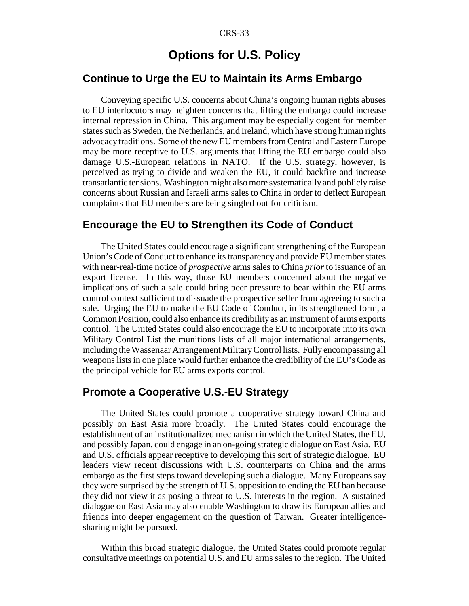## **Options for U.S. Policy**

### **Continue to Urge the EU to Maintain its Arms Embargo**

Conveying specific U.S. concerns about China's ongoing human rights abuses to EU interlocutors may heighten concerns that lifting the embargo could increase internal repression in China. This argument may be especially cogent for member states such as Sweden, the Netherlands, and Ireland, which have strong human rights advocacy traditions. Some of the new EU members from Central and Eastern Europe may be more receptive to U.S. arguments that lifting the EU embargo could also damage U.S.-European relations in NATO. If the U.S. strategy, however, is perceived as trying to divide and weaken the EU, it could backfire and increase transatlantic tensions. Washington might also more systematically and publicly raise concerns about Russian and Israeli arms sales to China in order to deflect European complaints that EU members are being singled out for criticism.

## **Encourage the EU to Strengthen its Code of Conduct**

The United States could encourage a significant strengthening of the European Union's Code of Conduct to enhance its transparency and provide EU member states with near-real-time notice of *prospective* arms sales to China *prior* to issuance of an export license. In this way, those EU members concerned about the negative implications of such a sale could bring peer pressure to bear within the EU arms control context sufficient to dissuade the prospective seller from agreeing to such a sale. Urging the EU to make the EU Code of Conduct, in its strengthened form, a Common Position, could also enhance its credibility as an instrument of arms exports control. The United States could also encourage the EU to incorporate into its own Military Control List the munitions lists of all major international arrangements, including the Wassenaar Arrangement Military Control lists. Fully encompassing all weapons lists in one place would further enhance the credibility of the EU's Code as the principal vehicle for EU arms exports control.

### **Promote a Cooperative U.S.-EU Strategy**

The United States could promote a cooperative strategy toward China and possibly on East Asia more broadly. The United States could encourage the establishment of an institutionalized mechanism in which the United States, the EU, and possibly Japan, could engage in an on-going strategic dialogue on East Asia. EU and U.S. officials appear receptive to developing this sort of strategic dialogue. EU leaders view recent discussions with U.S. counterparts on China and the arms embargo as the first steps toward developing such a dialogue. Many Europeans say they were surprised by the strength of U.S. opposition to ending the EU ban because they did not view it as posing a threat to U.S. interests in the region. A sustained dialogue on East Asia may also enable Washington to draw its European allies and friends into deeper engagement on the question of Taiwan. Greater intelligencesharing might be pursued.

Within this broad strategic dialogue, the United States could promote regular consultative meetings on potential U.S. and EU arms sales to the region. The United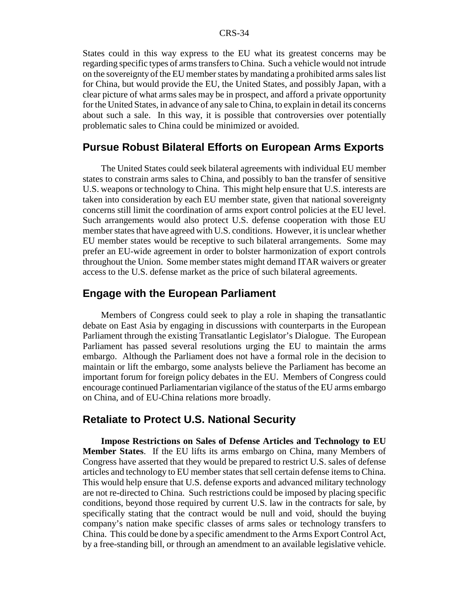States could in this way express to the EU what its greatest concerns may be regarding specific types of arms transfers to China. Such a vehicle would not intrude on the sovereignty of the EU member states by mandating a prohibited arms sales list for China, but would provide the EU, the United States, and possibly Japan, with a clear picture of what arms sales may be in prospect, and afford a private opportunity for the United States, in advance of any sale to China, to explain in detail its concerns about such a sale. In this way, it is possible that controversies over potentially problematic sales to China could be minimized or avoided.

#### **Pursue Robust Bilateral Efforts on European Arms Exports**

The United States could seek bilateral agreements with individual EU member states to constrain arms sales to China, and possibly to ban the transfer of sensitive U.S. weapons or technology to China. This might help ensure that U.S. interests are taken into consideration by each EU member state, given that national sovereignty concerns still limit the coordination of arms export control policies at the EU level. Such arrangements would also protect U.S. defense cooperation with those EU member states that have agreed with U.S. conditions. However, it is unclear whether EU member states would be receptive to such bilateral arrangements. Some may prefer an EU-wide agreement in order to bolster harmonization of export controls throughout the Union. Some member states might demand ITAR waivers or greater access to the U.S. defense market as the price of such bilateral agreements.

#### **Engage with the European Parliament**

Members of Congress could seek to play a role in shaping the transatlantic debate on East Asia by engaging in discussions with counterparts in the European Parliament through the existing Transatlantic Legislator's Dialogue. The European Parliament has passed several resolutions urging the EU to maintain the arms embargo. Although the Parliament does not have a formal role in the decision to maintain or lift the embargo, some analysts believe the Parliament has become an important forum for foreign policy debates in the EU. Members of Congress could encourage continued Parliamentarian vigilance of the status of the EU arms embargo on China, and of EU-China relations more broadly.

#### **Retaliate to Protect U.S. National Security**

**Impose Restrictions on Sales of Defense Articles and Technology to EU Member States**. If the EU lifts its arms embargo on China, many Members of Congress have asserted that they would be prepared to restrict U.S. sales of defense articles and technology to EU member states that sell certain defense items to China. This would help ensure that U.S. defense exports and advanced military technology are not re-directed to China. Such restrictions could be imposed by placing specific conditions, beyond those required by current U.S. law in the contracts for sale, by specifically stating that the contract would be null and void, should the buying company's nation make specific classes of arms sales or technology transfers to China. This could be done by a specific amendment to the Arms Export Control Act, by a free-standing bill, or through an amendment to an available legislative vehicle.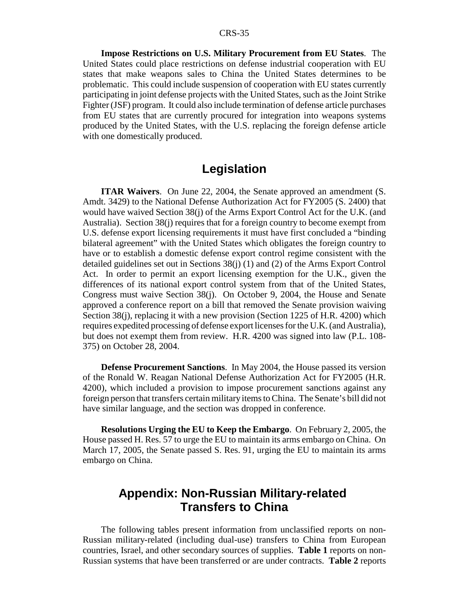**Impose Restrictions on U.S. Military Procurement from EU States**. The United States could place restrictions on defense industrial cooperation with EU states that make weapons sales to China the United States determines to be problematic. This could include suspension of cooperation with EU states currently participating in joint defense projects with the United States, such as the Joint Strike Fighter (JSF) program. It could also include termination of defense article purchases from EU states that are currently procured for integration into weapons systems produced by the United States, with the U.S. replacing the foreign defense article with one domestically produced.

## **Legislation**

**ITAR Waivers**. On June 22, 2004, the Senate approved an amendment (S. Amdt. 3429) to the National Defense Authorization Act for FY2005 (S. 2400) that would have waived Section 38(j) of the Arms Export Control Act for the U.K. (and Australia). Section 38(j) requires that for a foreign country to become exempt from U.S. defense export licensing requirements it must have first concluded a "binding bilateral agreement" with the United States which obligates the foreign country to have or to establish a domestic defense export control regime consistent with the detailed guidelines set out in Sections 38(j) (1) and (2) of the Arms Export Control Act. In order to permit an export licensing exemption for the U.K., given the differences of its national export control system from that of the United States, Congress must waive Section 38(j). On October 9, 2004, the House and Senate approved a conference report on a bill that removed the Senate provision waiving Section 38(j), replacing it with a new provision (Section 1225 of H.R. 4200) which requires expedited processing of defense export licenses for the U.K. (and Australia), but does not exempt them from review. H.R. 4200 was signed into law (P.L. 108- 375) on October 28, 2004.

**Defense Procurement Sanctions**. In May 2004, the House passed its version of the Ronald W. Reagan National Defense Authorization Act for FY2005 (H.R. 4200), which included a provision to impose procurement sanctions against any foreign person that transfers certain military items to China. The Senate's bill did not have similar language, and the section was dropped in conference.

**Resolutions Urging the EU to Keep the Embargo**. On February 2, 2005, the House passed H. Res. 57 to urge the EU to maintain its arms embargo on China. On March 17, 2005, the Senate passed S. Res. 91, urging the EU to maintain its arms embargo on China.

## **Appendix: Non-Russian Military-related Transfers to China**

The following tables present information from unclassified reports on non-Russian military-related (including dual-use) transfers to China from European countries, Israel, and other secondary sources of supplies. **Table 1** reports on non-Russian systems that have been transferred or are under contracts. **Table 2** reports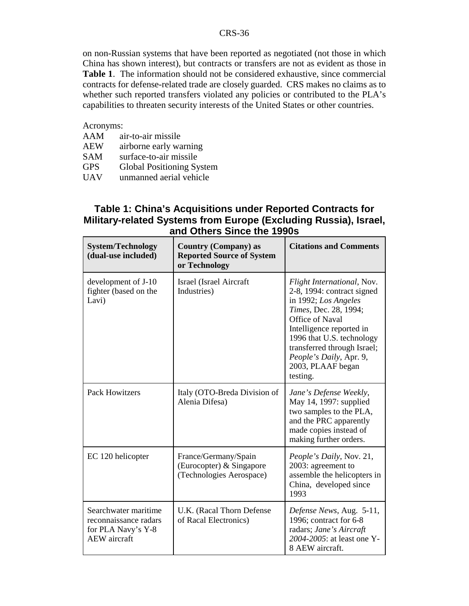on non-Russian systems that have been reported as negotiated (not those in which China has shown interest), but contracts or transfers are not as evident as those in **Table 1**. The information should not be considered exhaustive, since commercial contracts for defense-related trade are closely guarded. CRS makes no claims as to whether such reported transfers violated any policies or contributed to the PLA's capabilities to threaten security interests of the United States or other countries.

#### Acronyms:

- AAM air-to-air missile
- AEW airborne early warning<br>SAM surface-to-air missile
- SAM surface-to-air missile<br>GPS Global Positioning Sy GPS Global Positioning System<br>UAV unmanned aerial vehicle
- unmanned aerial vehicle

## **Table 1: China's Acquisitions under Reported Contracts for Military-related Systems from Europe (Excluding Russia), Israel, and Others Since the 1990s**

| <b>System/Technology</b><br>(dual-use included)                                            | <b>Country (Company) as</b><br><b>Reported Source of System</b><br>or Technology | <b>Citations and Comments</b>                                                                                                                                                                                                                                                    |
|--------------------------------------------------------------------------------------------|----------------------------------------------------------------------------------|----------------------------------------------------------------------------------------------------------------------------------------------------------------------------------------------------------------------------------------------------------------------------------|
| development of J-10<br>fighter (based on the<br>Lavi)                                      | <b>Israel</b> (Israel Aircraft<br>Industries)                                    | Flight International, Nov.<br>2-8, 1994: contract signed<br>in 1992; Los Angeles<br>Times, Dec. 28, 1994;<br>Office of Naval<br>Intelligence reported in<br>1996 that U.S. technology<br>transferred through Israel;<br>People's Daily, Apr. 9,<br>2003, PLAAF began<br>testing. |
| <b>Pack Howitzers</b>                                                                      | Italy (OTO-Breda Division of<br>Alenia Difesa)                                   | Jane's Defense Weekly,<br>May 14, 1997: supplied<br>two samples to the PLA,<br>and the PRC apparently<br>made copies instead of<br>making further orders.                                                                                                                        |
| EC 120 helicopter                                                                          | France/Germany/Spain<br>(Eurocopter) & Singapore<br>(Technologies Aerospace)     | People's Daily, Nov. 21,<br>2003: agreement to<br>assemble the helicopters in<br>China, developed since<br>1993                                                                                                                                                                  |
| Searchwater maritime<br>reconnaissance radars<br>for PLA Navy's Y-8<br><b>AEW</b> aircraft | U.K. (Racal Thorn Defense<br>of Racal Electronics)                               | Defense News, Aug. 5-11,<br>1996; contract for 6-8<br>radars; Jane's Aircraft<br>2004-2005: at least one Y-<br>8 AEW aircraft.                                                                                                                                                   |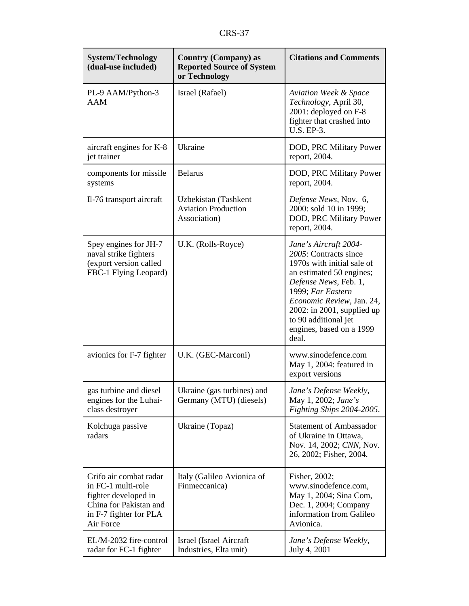| <b>System/Technology</b><br>(dual-use included)                                                                                       | <b>Country (Company) as</b><br><b>Reported Source of System</b><br>or Technology | <b>Citations and Comments</b>                                                                                                                                                                                                                                                        |
|---------------------------------------------------------------------------------------------------------------------------------------|----------------------------------------------------------------------------------|--------------------------------------------------------------------------------------------------------------------------------------------------------------------------------------------------------------------------------------------------------------------------------------|
| PL-9 AAM/Python-3<br><b>AAM</b>                                                                                                       | Israel (Rafael)                                                                  | <b>Aviation Week &amp; Space</b><br>Technology, April 30,<br>2001: deployed on F-8<br>fighter that crashed into<br>U.S. EP-3.                                                                                                                                                        |
| aircraft engines for K-8<br>jet trainer                                                                                               | Ukraine                                                                          | DOD, PRC Military Power<br>report, 2004.                                                                                                                                                                                                                                             |
| components for missile<br>systems                                                                                                     | <b>Belarus</b>                                                                   | DOD, PRC Military Power<br>report, 2004.                                                                                                                                                                                                                                             |
| Il-76 transport aircraft                                                                                                              | Uzbekistan (Tashkent<br><b>Aviation Production</b><br>Association)               | Defense News, Nov. 6,<br>2000: sold 10 in 1999;<br>DOD, PRC Military Power<br>report, 2004.                                                                                                                                                                                          |
| Spey engines for JH-7<br>naval strike fighters<br>(export version called<br>FBC-1 Flying Leopard)                                     | U.K. (Rolls-Royce)                                                               | Jane's Aircraft 2004-<br>2005: Contracts since<br>1970s with initial sale of<br>an estimated 50 engines;<br>Defense News, Feb. 1,<br>1999; Far Eastern<br>Economic Review, Jan. 24,<br>$2002$ : in $2001$ , supplied up<br>to 90 additional jet<br>engines, based on a 1999<br>deal. |
| avionics for F-7 fighter                                                                                                              | U.K. (GEC-Marconi)                                                               | www.sinodefence.com<br>May 1, 2004: featured in<br>export versions                                                                                                                                                                                                                   |
| gas turbine and diesel<br>engines for the Luhai-<br>class destroyer                                                                   | Ukraine (gas turbines) and<br>Germany (MTU) (diesels)                            | Jane's Defense Weekly,<br>May 1, 2002; Jane's<br>Fighting Ships 2004-2005.                                                                                                                                                                                                           |
| Kolchuga passive<br>radars                                                                                                            | Ukraine (Topaz)                                                                  | <b>Statement of Ambassador</b><br>of Ukraine in Ottawa,<br>Nov. 14, 2002; CNN, Nov.<br>26, 2002; Fisher, 2004.                                                                                                                                                                       |
| Grifo air combat radar<br>in FC-1 multi-role<br>fighter developed in<br>China for Pakistan and<br>in F-7 fighter for PLA<br>Air Force | Italy (Galileo Avionica of<br>Finmeccanica)                                      | Fisher, 2002;<br>www.sinodefence.com,<br>May 1, 2004; Sina Com,<br>Dec. 1, 2004; Company<br>information from Galileo<br>Avionica.                                                                                                                                                    |
| EL/M-2032 fire-control<br>radar for FC-1 fighter                                                                                      | Israel (Israel Aircraft<br>Industries, Elta unit)                                | Jane's Defense Weekly,<br>July 4, 2001                                                                                                                                                                                                                                               |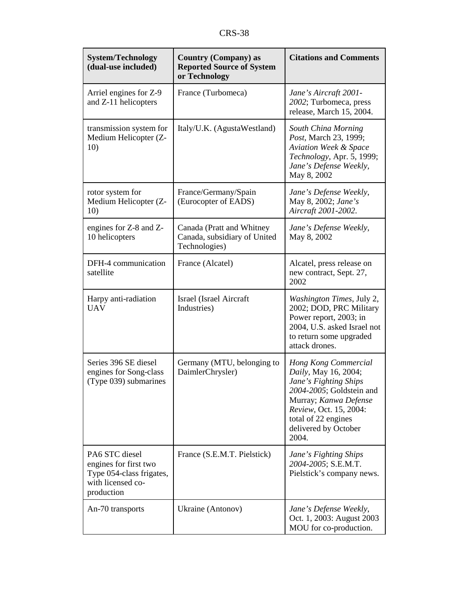| <b>System/Technology</b><br>(dual-use included)                                                        | <b>Country (Company) as</b><br><b>Reported Source of System</b><br>or Technology | <b>Citations and Comments</b>                                                                                                                                                                                |
|--------------------------------------------------------------------------------------------------------|----------------------------------------------------------------------------------|--------------------------------------------------------------------------------------------------------------------------------------------------------------------------------------------------------------|
| Arriel engines for Z-9<br>and Z-11 helicopters                                                         | France (Turbomeca)                                                               | Jane's Aircraft 2001-<br>2002; Turbomeca, press<br>release, March 15, 2004.                                                                                                                                  |
| transmission system for<br>Medium Helicopter (Z-<br>10)                                                | Italy/U.K. (AgustaWestland)                                                      | South China Morning<br>Post, March 23, 1999;<br><b>Aviation Week &amp; Space</b><br>Technology, Apr. 5, 1999;<br>Jane's Defense Weekly,<br>May 8, 2002                                                       |
| rotor system for<br>Medium Helicopter (Z-<br>10)                                                       | France/Germany/Spain<br>(Eurocopter of EADS)                                     | Jane's Defense Weekly,<br>May 8, 2002; Jane's<br>Aircraft 2001-2002.                                                                                                                                         |
| engines for Z-8 and Z-<br>10 helicopters                                                               | Canada (Pratt and Whitney<br>Canada, subsidiary of United<br>Technologies)       | Jane's Defense Weekly,<br>May 8, 2002                                                                                                                                                                        |
| DFH-4 communication<br>satellite                                                                       | France (Alcatel)                                                                 | Alcatel, press release on<br>new contract, Sept. 27,<br>2002                                                                                                                                                 |
| Harpy anti-radiation<br><b>UAV</b>                                                                     | Israel (Israel Aircraft<br>Industries)                                           | Washington Times, July 2,<br>2002; DOD, PRC Military<br>Power report, 2003; in<br>2004, U.S. asked Israel not<br>to return some upgraded<br>attack drones.                                                   |
| Series 396 SE diesel<br>engines for Song-class<br>(Type 039) submarines                                | Germany (MTU, belonging to<br>DaimlerChrysler)                                   | Hong Kong Commercial<br>Daily, May 16, 2004;<br>Jane's Fighting Ships<br>2004-2005; Goldstein and<br>Murray; Kanwa Defense<br>Review, Oct. 15, 2004:<br>total of 22 engines<br>delivered by October<br>2004. |
| PA6 STC diesel<br>engines for first two<br>Type 054-class frigates,<br>with licensed co-<br>production | France (S.E.M.T. Pielstick)                                                      | Jane's Fighting Ships<br>2004-2005; S.E.M.T.<br>Pielstick's company news.                                                                                                                                    |
| An-70 transports                                                                                       | Ukraine (Antonov)                                                                | Jane's Defense Weekly,<br>Oct. 1, 2003: August 2003<br>MOU for co-production.                                                                                                                                |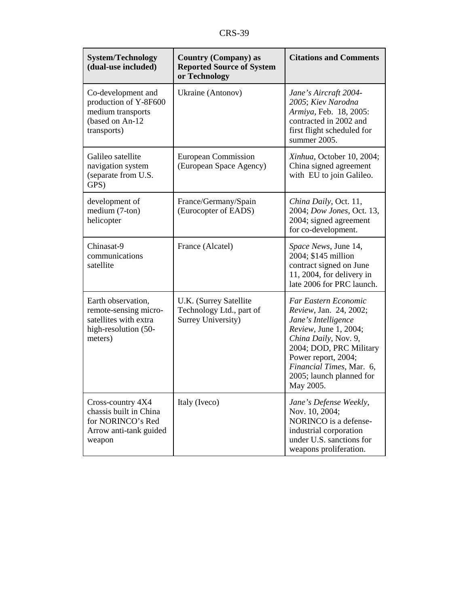| <b>System/Technology</b><br>(dual-use included)                                                         | <b>Country (Company) as</b><br><b>Reported Source of System</b><br>or Technology | <b>Citations and Comments</b>                                                                                                                                                                                                                 |
|---------------------------------------------------------------------------------------------------------|----------------------------------------------------------------------------------|-----------------------------------------------------------------------------------------------------------------------------------------------------------------------------------------------------------------------------------------------|
| Co-development and<br>production of Y-8F600<br>medium transports<br>(based on An-12<br>transports)      | Ukraine (Antonov)                                                                | Jane's Aircraft 2004-<br>2005; Kiev Narodna<br>Armiya, Feb. 18, 2005:<br>contracted in 2002 and<br>first flight scheduled for<br>summer 2005.                                                                                                 |
| Galileo satellite<br>navigation system<br>(separate from U.S.<br>GPS)                                   | European Commission<br>(European Space Agency)                                   | Xinhua, October 10, 2004;<br>China signed agreement<br>with EU to join Galileo.                                                                                                                                                               |
| development of<br>medium (7-ton)<br>helicopter                                                          | France/Germany/Spain<br>(Eurocopter of EADS)                                     | China Daily, Oct. 11,<br>2004; Dow Jones, Oct. 13,<br>2004; signed agreement<br>for co-development.                                                                                                                                           |
| Chinasat-9<br>communications<br>satellite                                                               | France (Alcatel)                                                                 | Space News, June 14,<br>2004; \$145 million<br>contract signed on June<br>11, 2004, for delivery in<br>late 2006 for PRC launch.                                                                                                              |
| Earth observation,<br>remote-sensing micro-<br>satellites with extra<br>high-resolution (50-<br>meters) | U.K. (Surrey Satellite<br>Technology Ltd., part of<br>Surrey University)         | Far Eastern Economic<br>Review, Jan. 24, 2002;<br>Jane's Intelligence<br>Review, June 1, 2004;<br>China Daily, Nov. 9,<br>2004; DOD, PRC Military<br>Power report, 2004;<br>Financial Times, Mar. 6,<br>2005; launch planned for<br>May 2005. |
| Cross-country 4X4<br>chassis built in China<br>for NORINCO's Red<br>Arrow anti-tank guided<br>weapon    | Italy (Iveco)                                                                    | Jane's Defense Weekly,<br>Nov. 10, 2004;<br>NORINCO is a defense-<br>industrial corporation<br>under U.S. sanctions for<br>weapons proliferation.                                                                                             |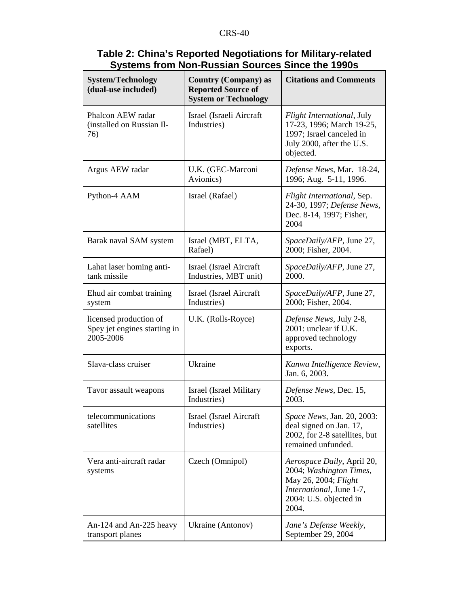| <b>System/Technology</b><br>(dual-use included)                     | <b>Country (Company) as</b><br><b>Reported Source of</b><br><b>System or Technology</b> | <b>Citations and Comments</b>                                                                                                                |
|---------------------------------------------------------------------|-----------------------------------------------------------------------------------------|----------------------------------------------------------------------------------------------------------------------------------------------|
| Phalcon AEW radar<br>(installed on Russian Il-<br>76)               | Israel (Israeli Aircraft<br>Industries)                                                 | Flight International, July<br>17-23, 1996; March 19-25,<br>1997; Israel canceled in<br>July 2000, after the U.S.<br>objected.                |
| Argus AEW radar                                                     | U.K. (GEC-Marconi<br>Avionics)                                                          | Defense News, Mar. 18-24,<br>1996; Aug. 5-11, 1996.                                                                                          |
| Python-4 AAM                                                        | Israel (Rafael)                                                                         | Flight International, Sep.<br>24-30, 1997; Defense News,<br>Dec. 8-14, 1997; Fisher,<br>2004                                                 |
| Barak naval SAM system                                              | Israel (MBT, ELTA,<br>Rafael)                                                           | SpaceDaily/AFP, June 27,<br>2000; Fisher, 2004.                                                                                              |
| Lahat laser homing anti-<br>tank missile                            | Israel (Israel Aircraft<br>Industries, MBT unit)                                        | SpaceDaily/AFP, June 27,<br>2000.                                                                                                            |
| Ehud air combat training<br>system                                  | <b>Israel</b> (Israel Aircraft<br>Industries)                                           | SpaceDaily/AFP, June 27,<br>2000; Fisher, 2004.                                                                                              |
| licensed production of<br>Spey jet engines starting in<br>2005-2006 | U.K. (Rolls-Royce)                                                                      | Defense News, July 2-8,<br>2001: unclear if U.K.<br>approved technology<br>exports.                                                          |
| Slava-class cruiser                                                 | Ukraine                                                                                 | Kanwa Intelligence Review,<br>Jan. 6, 2003.                                                                                                  |
| Tavor assault weapons                                               | Israel (Israel Military<br>Industries)                                                  | Defense News, Dec. 15,<br>2003.                                                                                                              |
| telecommunications<br>satellites                                    | Israel (Israel Aircraft<br>Industries)                                                  | Space News, Jan. 20, 2003:<br>deal signed on Jan. 17,<br>2002, for 2-8 satellites, but<br>remained unfunded.                                 |
| Vera anti-aircraft radar<br>systems                                 | Czech (Omnipol)                                                                         | Aerospace Daily, April 20,<br>2004; Washington Times,<br>May 26, 2004; Flight<br>International, June 1-7,<br>2004: U.S. objected in<br>2004. |
| An-124 and An-225 heavy<br>transport planes                         | Ukraine (Antonov)                                                                       | Jane's Defense Weekly,<br>September 29, 2004                                                                                                 |

## **Table 2: China's Reported Negotiations for Military-related Systems from Non-Russian Sources Since the 1990s**